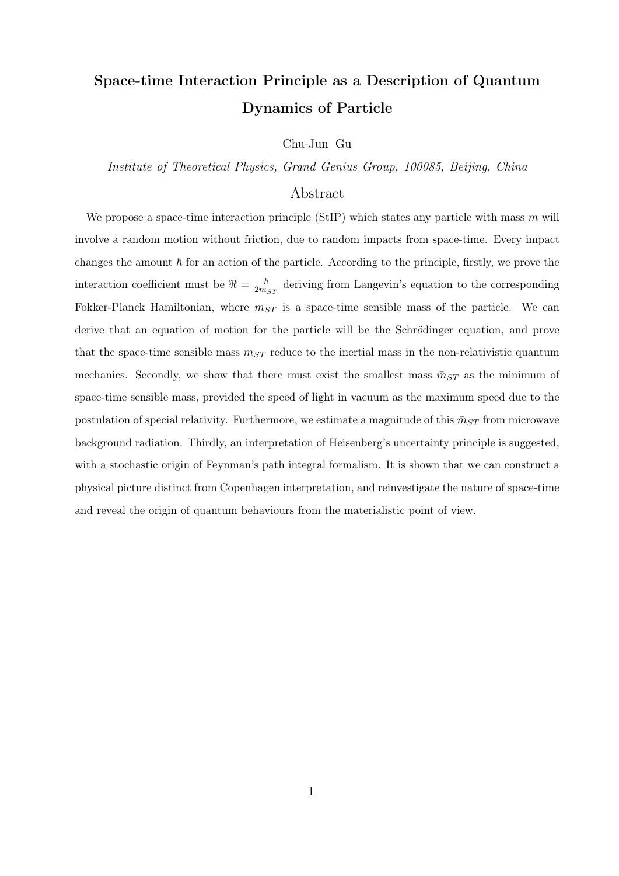# Space-time Interaction Principle as a Description of Quantum Dynamics of Particle

Chu-Jun Gu

*Institute of Theoretical Physics, Grand Genius Group, 100085, Beijing, China*

# Abstract

We propose a space-time interaction principle (StIP) which states any particle with mass *m* will involve a random motion without friction, due to random impacts from space-time. Every impact changes the amount  $\hbar$  for an action of the particle. According to the principle, firstly, we prove the interaction coefficient must be  $\Re = \frac{\hbar}{2m_{ST}}$  deriving from Langevin's equation to the corresponding Fokker-Planck Hamiltonian, where  $m_{ST}$  is a space-time sensible mass of the particle. We can derive that an equation of motion for the particle will be the Schrödinger equation, and prove that the space-time sensible mass  $m_{ST}$  reduce to the inertial mass in the non-relativistic quantum mechanics. Secondly, we show that there must exist the smallest mass  $\bar{m}_{ST}$  as the minimum of space-time sensible mass, provided the speed of light in vacuum as the maximum speed due to the postulation of special relativity. Furthermore, we estimate a magnitude of this  $\bar{m}_{ST}$  from microwave background radiation. Thirdly, an interpretation of Heisenberg's uncertainty principle is suggested, with a stochastic origin of Feynman's path integral formalism. It is shown that we can construct a physical picture distinct from Copenhagen interpretation, and reinvestigate the nature of space-time and reveal the origin of quantum behaviours from the materialistic point of view.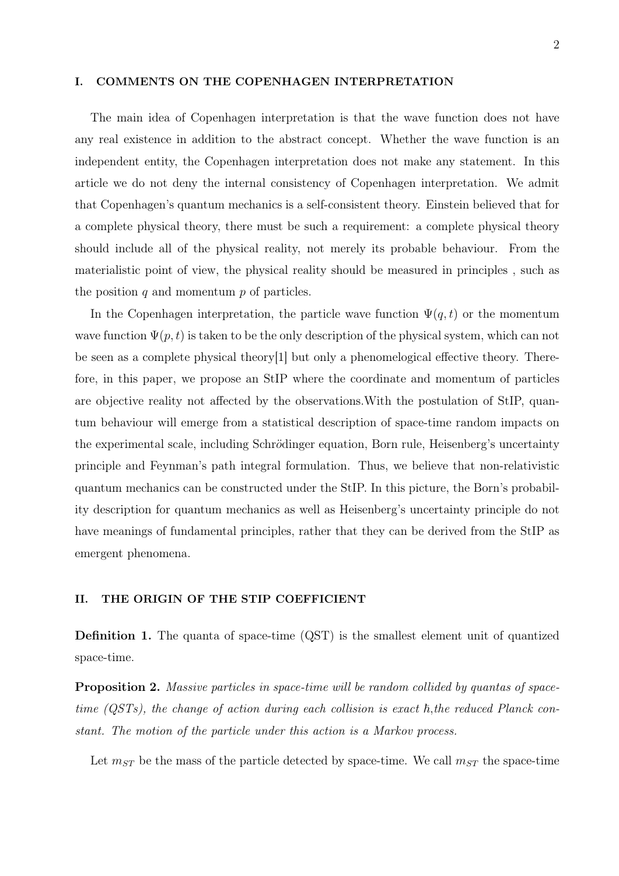#### I. COMMENTS ON THE COPENHAGEN INTERPRETATION

The main idea of Copenhagen interpretation is that the wave function does not have any real existence in addition to the abstract concept. Whether the wave function is an independent entity, the Copenhagen interpretation does not make any statement. In this article we do not deny the internal consistency of Copenhagen interpretation. We admit that Copenhagen's quantum mechanics is a self-consistent theory. Einstein believed that for a complete physical theory, there must be such a requirement: a complete physical theory should include all of the physical reality, not merely its probable behaviour. From the materialistic point of view, the physical reality should be measured in principles , such as the position *q* and momentum *p* of particles.

In the Copenhagen interpretation, the particle wave function  $\Psi(q,t)$  or the momentum wave function  $\Psi(p, t)$  is taken to be the only description of the physical system, which can not be seen as a complete physical theory[1] but only a phenomelogical effective theory. Therefore, in this paper, we propose an StIP where the coordinate and momentum of particles are objective reality not affected by the observations.With the postulation of StIP, quantum behaviour will emerge from a statistical description of space-time random impacts on the experimental scale, including Schrödinger equation, Born rule, Heisenberg's uncertainty principle and Feynman's path integral formulation. Thus, we believe that non-relativistic quantum mechanics can be constructed under the StIP. In this picture, the Born's probability description for quantum mechanics as well as Heisenberg's uncertainty principle do not have meanings of fundamental principles, rather that they can be derived from the StIP as emergent phenomena.

# II. THE ORIGIN OF THE STIP COEFFICIENT

Definition 1. The quanta of space-time (QST) is the smallest element unit of quantized space-time.

Proposition 2. *Massive particles in space-time will be random collided by quantas of space* $time$  (QSTs), the change of action during each collision is exact  $\hbar$ , the reduced Planck con*stant. The motion of the particle under this action is a Markov process.*

Let  $m_{ST}$  be the mass of the particle detected by space-time. We call  $m_{ST}$  the space-time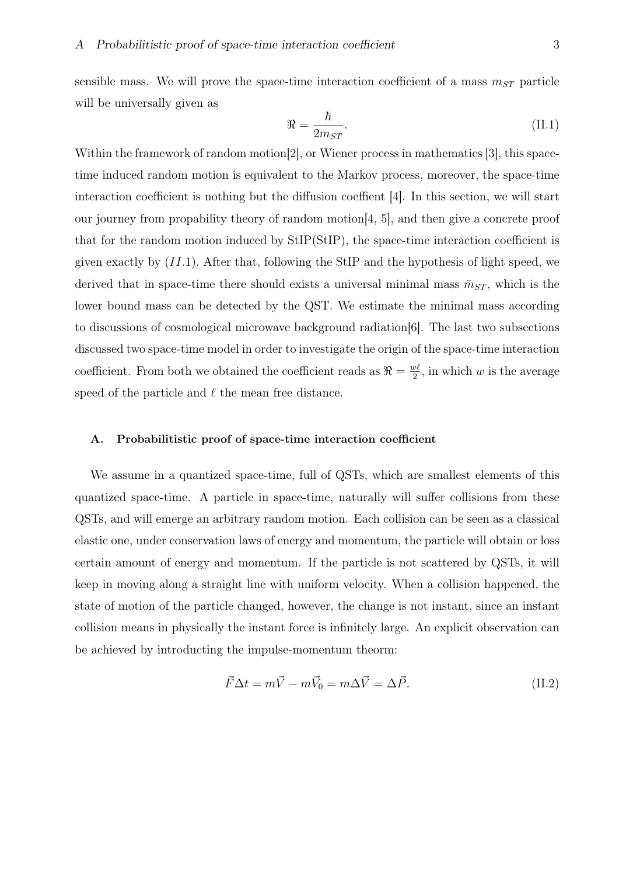sensible mass. We will prove the space-time interaction coefficient of a mass  $m_{ST}$  particle will be universally given as

$$
\Re = \frac{\hbar}{2m_{ST}}.\tag{II.1}
$$

Within the framework of random motion<sup>[2]</sup>, or Wiener process in mathematics [3], this spacetime induced random motion is equivalent to the Markov process, moreover, the space-time interaction coefficient is nothing but the diffusion coeffient [4]. In this section, we will start our journey from propability theory of random motion[4, 5], and then give a concrete proof that for the random motion induced by StIP(StIP), the space-time interaction coefficient is given exactly by  $(II.1)$ . After that, following the StIP and the hypothesis of light speed, we derived that in space-time there should exists a universal minimal mass  $\bar{m}_{ST}$ , which is the lower bound mass can be detected by the QST. We estimate the minimal mass according to discussions of cosmological microwave background radiation[6]. The last two subsections discussed two space-time model in order to investigate the origin of the space-time interaction coefficient. From both we obtained the coefficient reads as  $\Re = \frac{w\ell}{2}$  $\frac{v\ell}{2}$ , in which *w* is the average speed of the particle and *ℓ* the mean free distance.

#### A. Probabilitistic proof of space-time interaction coefficient

We assume in a quantized space-time, full of QSTs, which are smallest elements of this quantized space-time. A particle in space-time, naturally will suffer collisions from these QSTs, and will emerge an arbitrary random motion. Each collision can be seen as a classical elastic one, under conservation laws of energy and momentum, the particle will obtain or loss certain amount of energy and momentum. If the particle is not scattered by QSTs, it will keep in moving along a straight line with uniform velocity. When a collision happened, the state of motion of the particle changed, however, the change is not instant, since an instant collision means in physically the instant force is infinitely large. An explicit observation can be achieved by introducting the impulse-momentum theorm:

$$
\vec{F}\Delta t = m\vec{V} - m\vec{V}_0 = m\Delta \vec{V} = \Delta \vec{P}.
$$
 (II.2)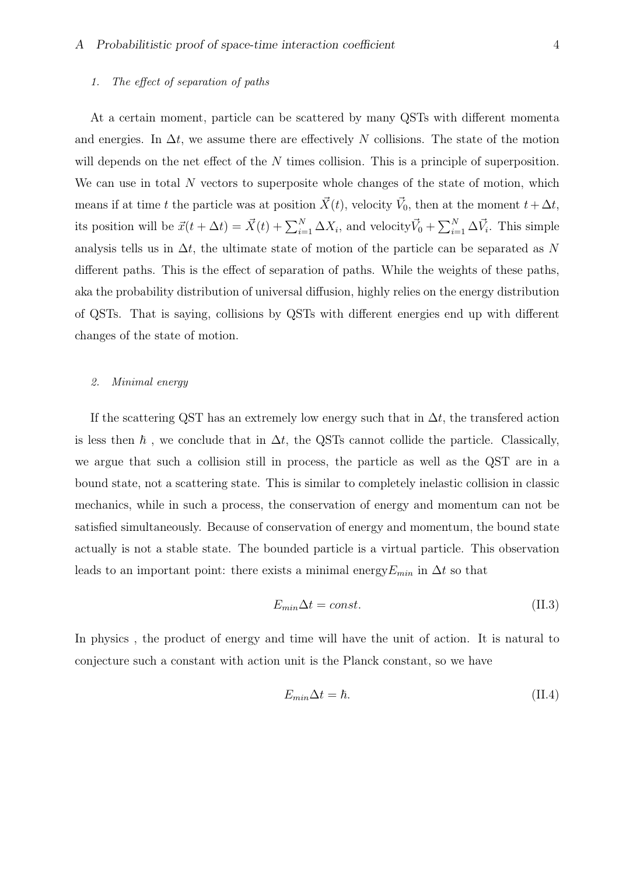#### *1. The effect of separation of paths*

At a certain moment, particle can be scattered by many QSTs with different momenta and energies. In  $\Delta t$ , we assume there are effectively N collisions. The state of the motion will depends on the net effect of the *N* times collision. This is a principle of superposition. We can use in total N vectors to superposite whole changes of the state of motion, which means if at time *t* the particle was at position  $\vec{X}(t)$ , velocity  $\vec{V}_0$ , then at the moment  $t + \Delta t$ , its position will be  $\vec{x}(t + \Delta t) = \vec{X}(t) + \sum_{i=1}^{N} \Delta X_i$ , and velocity  $\vec{V}_0 + \sum_{i=1}^{N} \Delta \vec{V}_i$ . This simple analysis tells us in ∆*t*, the ultimate state of motion of the particle can be separated as *N* different paths. This is the effect of separation of paths. While the weights of these paths, aka the probability distribution of universal diffusion, highly relies on the energy distribution of QSTs. That is saying, collisions by QSTs with different energies end up with different changes of the state of motion.

#### *2. Minimal energy*

If the scattering QST has an extremely low energy such that in ∆*t*, the transfered action is less then  $\hbar$ , we conclude that in  $\Delta t$ , the QSTs cannot collide the particle. Classically, we argue that such a collision still in process, the particle as well as the QST are in a bound state, not a scattering state. This is similar to completely inelastic collision in classic mechanics, while in such a process, the conservation of energy and momentum can not be satisfied simultaneously. Because of conservation of energy and momentum, the bound state actually is not a stable state. The bounded particle is a virtual particle. This observation leads to an important point: there exists a minimal energy  $E_{min}$  in  $\Delta t$  so that

$$
E_{min}\Delta t = const.
$$
\n(II.3)

In physics , the product of energy and time will have the unit of action. It is natural to conjecture such a constant with action unit is the Planck constant, so we have

$$
E_{min}\Delta t = \hbar. \tag{II.4}
$$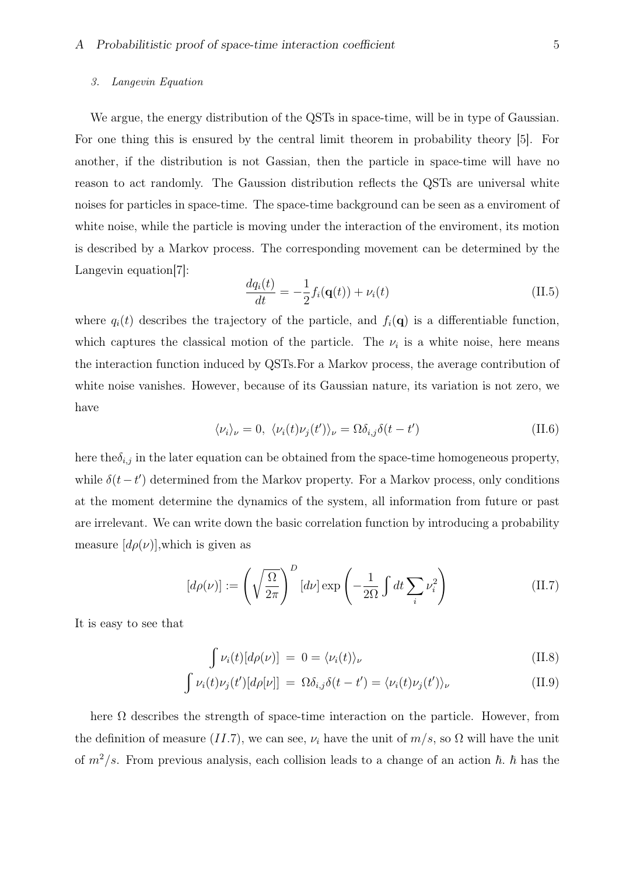#### *3. Langevin Equation*

We argue, the energy distribution of the QSTs in space-time, will be in type of Gaussian. For one thing this is ensured by the central limit theorem in probability theory [5]. For another, if the distribution is not Gassian, then the particle in space-time will have no reason to act randomly. The Gaussion distribution reflects the QSTs are universal white noises for particles in space-time. The space-time background can be seen as a enviroment of white noise, while the particle is moving under the interaction of the enviroment, its motion is described by a Markov process. The corresponding movement can be determined by the Langevin equation[7]:

$$
\frac{dq_i(t)}{dt} = -\frac{1}{2}f_i(\mathbf{q}(t)) + \nu_i(t)
$$
\n(II.5)

where  $q_i(t)$  describes the trajectory of the particle, and  $f_i(\mathbf{q})$  is a differentiable function, which captures the classical motion of the particle. The  $\nu_i$  is a white noise, here means the interaction function induced by QSTs.For a Markov process, the average contribution of white noise vanishes. However, because of its Gaussian nature, its variation is not zero, we have

$$
\langle \nu_i \rangle_{\nu} = 0, \ \langle \nu_i(t) \nu_j(t') \rangle_{\nu} = \Omega \delta_{i,j} \delta(t - t')
$$
 (II.6)

here the  $\delta_{i,j}$  in the later equation can be obtained from the space-time homogeneous property, while  $\delta(t-t')$  determined from the Markov property. For a Markov process, only conditions at the moment determine the dynamics of the system, all information from future or past are irrelevant. We can write down the basic correlation function by introducing a probability measure  $[d\rho(\nu)]$ , which is given as

$$
[d\rho(\nu)] := \left(\sqrt{\frac{\Omega}{2\pi}}\right)^D [d\nu] \exp\left(-\frac{1}{2\Omega} \int dt \sum_i \nu_i^2\right) \tag{II.7}
$$

It is easy to see that

$$
\int \nu_i(t)[d\rho(\nu)] = 0 = \langle \nu_i(t) \rangle_{\nu}
$$
\n(II.8)

$$
\int \nu_i(t)\nu_j(t')[d\rho[\nu]] = \Omega \delta_{i,j}\delta(t-t') = \langle \nu_i(t)\nu_j(t') \rangle_{\nu}
$$
\n(II.9)

here  $\Omega$  describes the strength of space-time interaction on the particle. However, from the definition of measure  $(II.7)$ , we can see,  $\nu_i$  have the unit of  $m/s$ , so  $\Omega$  will have the unit of  $m^2/s$ . From previous analysis, each collision leads to a change of an action  $\hbar$ .  $\hbar$  has the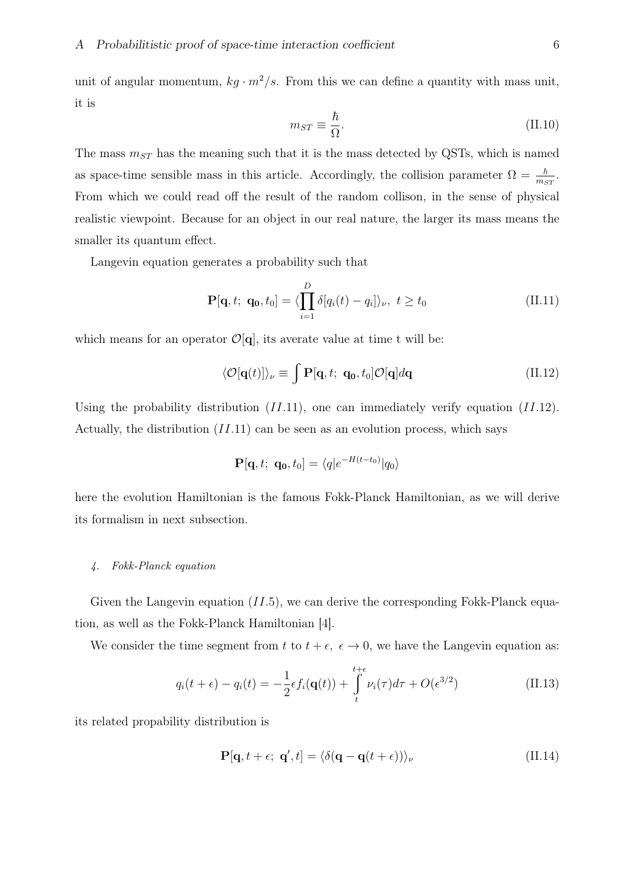unit of angular momentum,  $kg \cdot m^2/s$ . From this we can define a quantity with mass unit, it is

$$
m_{ST} \equiv \frac{\hbar}{\Omega}.\tag{II.10}
$$

The mass *mST* has the meaning such that it is the mass detected by QSTs, which is named as space-time sensible mass in this article. Accordingly, the collision parameter  $\Omega = \frac{\hbar}{m_{ST}}$ . From which we could read off the result of the random collison, in the sense of physical realistic viewpoint. Because for an object in our real nature, the larger its mass means the smaller its quantum effect.

Langevin equation generates a probability such that

$$
\mathbf{P}[\mathbf{q}, t; \; \mathbf{q_0}, t_0] = \langle \prod_{i=1}^{D} \delta[q_i(t) - q_i] \rangle_{\nu}, \; t \ge t_0 \tag{II.11}
$$

which means for an operator  $\mathcal{O}[\mathbf{q}]$ , its averate value at time t will be:

$$
\langle \mathcal{O}[\mathbf{q}(t)] \rangle_{\nu} \equiv \int \mathbf{P}[\mathbf{q}, t; \ \mathbf{q_0}, t_0] \mathcal{O}[\mathbf{q}] d\mathbf{q} \tag{II.12}
$$

Using the probability distribution (*II.*11), one can immediately verify equation (*II.*12). Actually, the distribution  $(II.11)$  can be seen as an evolution process, which says

$$
\mathbf{P}[\mathbf{q},t;\ \mathbf{q_0},t_0] = \langle q|e^{-H(t-t_0)}|q_0\rangle
$$

here the evolution Hamiltonian is the famous Fokk-Planck Hamiltonian, as we will derive its formalism in next subsection.

#### *4. Fokk-Planck equation*

Given the Langevin equation (*II.*5), we can derive the corresponding Fokk-Planck equation, as well as the Fokk-Planck Hamiltonian [4].

We consider the time segment from *t* to  $t + \epsilon$ ,  $\epsilon \to 0$ , we have the Langevin equation as:

$$
q_i(t+\epsilon) - q_i(t) = -\frac{1}{2}\epsilon f_i(\mathbf{q}(t)) + \int_t^{t+\epsilon} \nu_i(\tau) d\tau + O(\epsilon^{3/2})
$$
\n(II.13)

its related propability distribution is

$$
\mathbf{P}[\mathbf{q}, t + \epsilon; \ \mathbf{q}', t] = \langle \delta(\mathbf{q} - \mathbf{q}(t + \epsilon)) \rangle_{\nu} \tag{II.14}
$$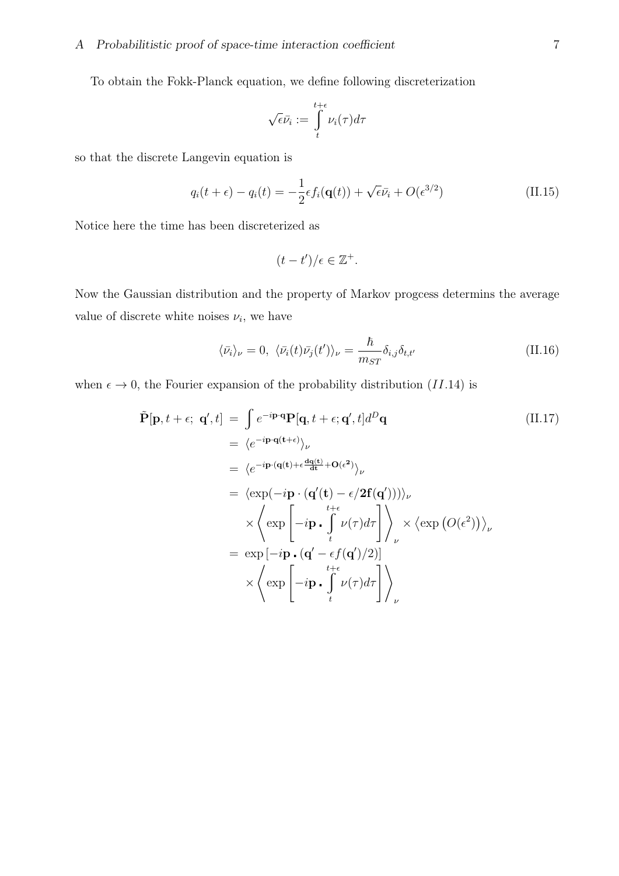To obtain the Fokk-Planck equation, we define following discreterization

$$
\sqrt{\epsilon}\bar{\nu_i} := \int\limits_t^{t+\epsilon} \nu_i(\tau) d\tau
$$

so that the discrete Langevin equation is

$$
q_i(t+\epsilon) - q_i(t) = -\frac{1}{2}\epsilon f_i(\mathbf{q}(t)) + \sqrt{\epsilon}\bar{\nu}_i + O(\epsilon^{3/2})
$$
 (II.15)

Notice here the time has been discreterized as

$$
(t-t')/\epsilon \in \mathbb{Z}^+.
$$

Now the Gaussian distribution and the property of Markov progcess determins the average value of discrete white noises  $\nu_i$ , we have

$$
\langle \bar{\nu}_i \rangle_{\nu} = 0, \ \langle \bar{\nu}_i(t) \bar{\nu}_j(t') \rangle_{\nu} = \frac{\hbar}{m_{ST}} \delta_{i,j} \delta_{t,t'} \tag{II.16}
$$

when  $\epsilon \to 0$ , the Fourier expansion of the probability distribution (*II.*14) is

$$
\tilde{\mathbf{P}}[\mathbf{p}, t + \epsilon; \mathbf{q}', t] = \int e^{-i\mathbf{p} \cdot \mathbf{q}} \mathbf{P}[\mathbf{q}, t + \epsilon; \mathbf{q}', t] d^D \mathbf{q} \n= \langle e^{-i\mathbf{p} \cdot \mathbf{q}(t + \epsilon)} \rangle_{\nu} \n= \langle e^{-i\mathbf{p} \cdot (\mathbf{q}(t) + \epsilon \frac{\mathbf{dq}(t)}{\mathbf{dt}} + \mathbf{O}(\epsilon^2)} \rangle_{\nu} \n= \langle \exp(-i\mathbf{p} \cdot (\mathbf{q}'(t) - \epsilon/2\mathbf{f}(\mathbf{q}'))) \rangle_{\nu} \n\times \langle \exp\left[-i\mathbf{p} \cdot \int_{t}^{t + \epsilon} \nu(\tau) d\tau\right] \rangle_{\nu} \times \langle \exp(O(\epsilon^2)) \rangle_{\nu} \n= \exp\left[-i\mathbf{p} \cdot (\mathbf{q}' - \epsilon f(\mathbf{q}')/2)\right] \n\times \langle \exp\left[-i\mathbf{p} \cdot \int_{t}^{t + \epsilon} \nu(\tau) d\tau\right] \rangle_{\nu}
$$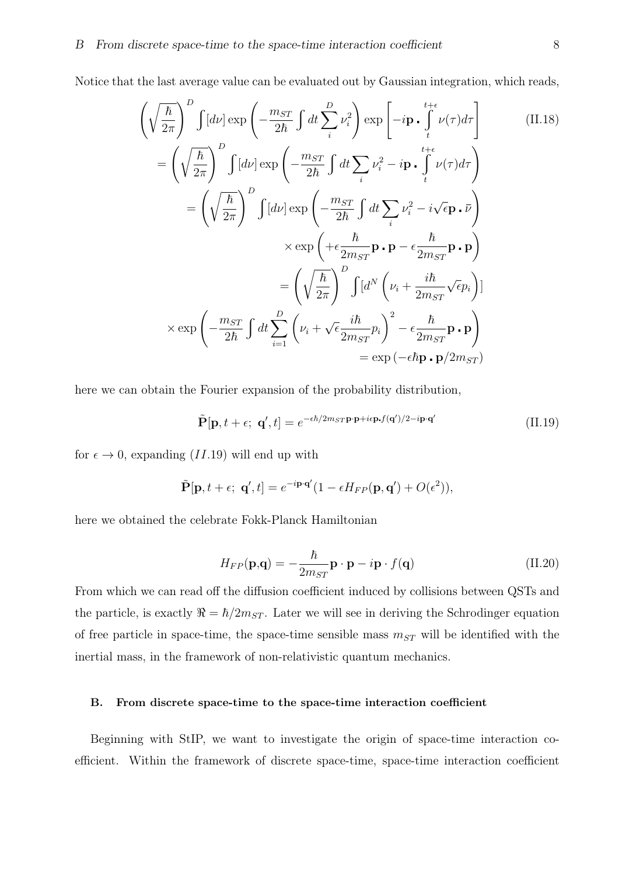Notice that the last average value can be evaluated out by Gaussian integration, which reads,

$$
\left(\sqrt{\frac{\hbar}{2\pi}}\right)^{D} \int [d\nu] \exp\left(-\frac{m_{ST}}{2\hbar} \int dt \sum_{i}^{D} \nu_{i}^{2}\right) \exp\left[-i\mathbf{p} \cdot \int_{t}^{t+\epsilon} \nu(\tau) d\tau\right]
$$
\n(II.18)  
\n
$$
= \left(\sqrt{\frac{\hbar}{2\pi}}\right)^{D} \int [d\nu] \exp\left(-\frac{m_{ST}}{2\hbar} \int dt \sum_{i} \nu_{i}^{2} - i\mathbf{p} \cdot \int_{t}^{t+\epsilon} \nu(\tau) d\tau\right)
$$
\n
$$
= \left(\sqrt{\frac{\hbar}{2\pi}}\right)^{D} \int [d\nu] \exp\left(-\frac{m_{ST}}{2\hbar} \int dt \sum_{i} \nu_{i}^{2} - i\sqrt{\epsilon} \mathbf{p} \cdot \bar{\nu}\right)
$$
\n
$$
\times \exp\left(+\epsilon \frac{\hbar}{2m_{ST}} \mathbf{p} \cdot \mathbf{p} - \epsilon \frac{\hbar}{2m_{ST}} \mathbf{p} \cdot \mathbf{p}\right)
$$
\n
$$
= \left(\sqrt{\frac{\hbar}{2\pi}}\right)^{D} \int [d^{N} \left(\nu_{i} + \frac{i\hbar}{2m_{ST}} \sqrt{\epsilon} p_{i}\right)]
$$
\n
$$
\times \exp\left(-\frac{m_{ST}}{2\hbar} \int dt \sum_{i=1}^{D} \left(\nu_{i} + \sqrt{\epsilon} \frac{i\hbar}{2m_{ST}} p_{i}\right)^{2} - \epsilon \frac{\hbar}{2m_{ST}} \mathbf{p} \cdot \mathbf{p}\right)
$$
\n
$$
= \exp\left(-\epsilon \hbar \mathbf{p} \cdot \mathbf{p}/2m_{ST}\right)
$$

here we can obtain the Fourier expansion of the probability distribution,

$$
\tilde{\mathbf{P}}[\mathbf{p}, t + \epsilon; \ \mathbf{q}', t] = e^{-\epsilon \hbar/2 m_{ST} \mathbf{p} \cdot \mathbf{p} + i\epsilon \mathbf{p} \cdot f(\mathbf{q}')/2 - i\mathbf{p} \cdot \mathbf{q}'} \tag{II.19}
$$

for  $\epsilon \to 0$ , expanding (*II.*19) will end up with

$$
\tilde{\mathbf{P}}[\mathbf{p}, t + \epsilon; \ \mathbf{q}', t] = e^{-i\mathbf{p} \cdot \mathbf{q}'} (1 - \epsilon H_{FP}(\mathbf{p}, \mathbf{q}') + O(\epsilon^2)),
$$

here we obtained the celebrate Fokk-Planck Hamiltonian

$$
H_{FP}(\mathbf{p}, \mathbf{q}) = -\frac{\hbar}{2m_{ST}} \mathbf{p} \cdot \mathbf{p} - i \mathbf{p} \cdot f(\mathbf{q})
$$
 (II.20)

From which we can read off the diffusion coefficient induced by collisions between QSTs and the particle, is exactly  $\Re = \hbar/2m_{ST}$ . Later we will see in deriving the Schrodinger equation of free particle in space-time, the space-time sensible mass  $m_{ST}$  will be identified with the inertial mass, in the framework of non-relativistic quantum mechanics.

## B. From discrete space-time to the space-time interaction coefficient

Beginning with StIP, we want to investigate the origin of space-time interaction coefficient. Within the framework of discrete space-time, space-time interaction coefficient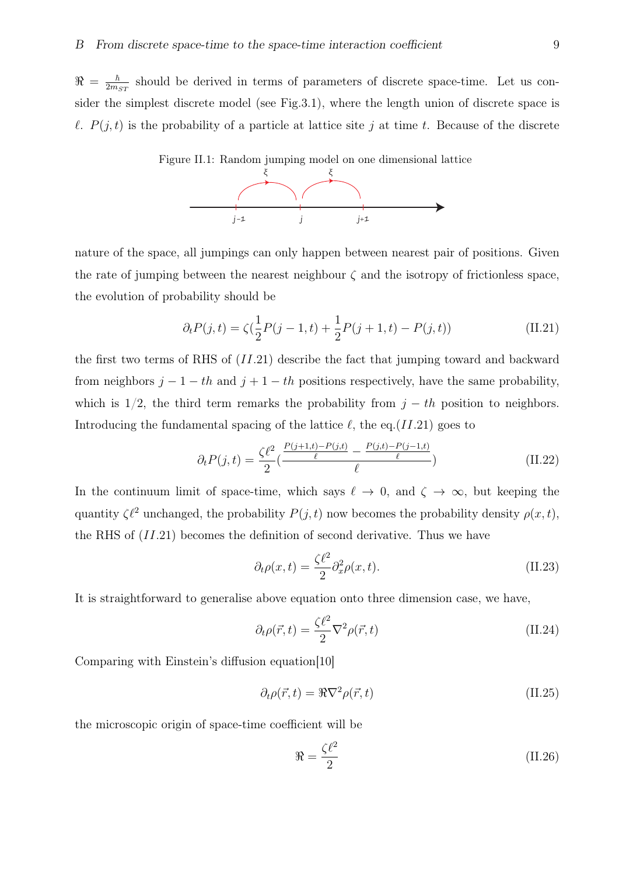$\Re \, = \, \frac{\hbar}{2 m}$  $\frac{\hbar}{2m_{ST}}$  should be derived in terms of parameters of discrete space-time. Let us consider the simplest discrete model (see Fig.3.1), where the length union of discrete space is *l*.  $P(j,t)$  is the probability of a particle at lattice site *j* at time *t*. Because of the discrete



nature of the space, all jumpings can only happen between nearest pair of positions. Given the rate of jumping between the nearest neighbour  $\zeta$  and the isotropy of frictionless space, the evolution of probability should be

$$
\partial_t P(j, t) = \zeta(\frac{1}{2}P(j - 1, t) + \frac{1}{2}P(j + 1, t) - P(j, t))
$$
\n(II.21)

the first two terms of RHS of (*II.*21) describe the fact that jumping toward and backward from neighbors  $j - 1 - th$  and  $j + 1 - th$  positions respectively, have the same probability, which is  $1/2$ , the third term remarks the probability from  $j - th$  position to neighbors. Introducing the fundamental spacing of the lattice *ℓ,* the eq.(*II.*21) goes to

$$
\partial_t P(j,t) = \frac{\zeta \ell^2}{2} \left( \frac{\frac{P(j+1,t) - P(j,t)}{\ell} - \frac{P(j,t) - P(j-1,t)}{\ell}}{\ell} \right) \tag{II.22}
$$

In the continuum limit of space-time, which says  $\ell \to 0$ , and  $\zeta \to \infty$ , but keeping the quantity  $\zeta \ell^2$  unchanged, the probability *P*(*j, t*) now becomes the probability density  $\rho(x, t)$ , the RHS of (*II.*21) becomes the definition of second derivative. Thus we have

$$
\partial_t \rho(x,t) = \frac{\zeta \ell^2}{2} \partial_x^2 \rho(x,t). \tag{II.23}
$$

It is straightforward to generalise above equation onto three dimension case, we have,

$$
\partial_t \rho(\vec{r}, t) = \frac{\zeta \ell^2}{2} \nabla^2 \rho(\vec{r}, t)
$$
\n(II.24)

Comparing with Einstein's diffusion equation[10]

$$
\partial_t \rho(\vec{r}, t) = \Re \nabla^2 \rho(\vec{r}, t)
$$
\n(II.25)

the microscopic origin of space-time coefficient will be

$$
\Re = \frac{\zeta \ell^2}{2} \tag{II.26}
$$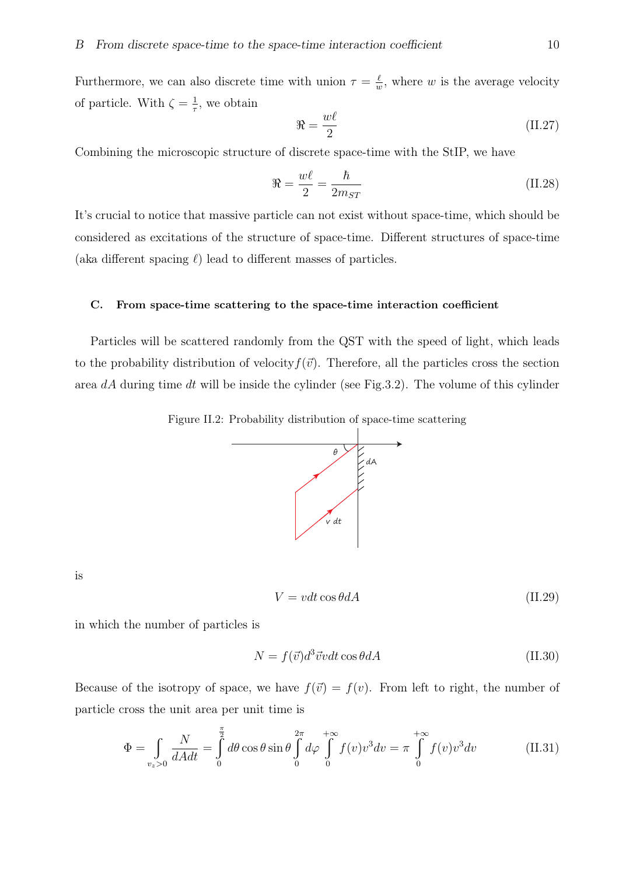Furthermore, we can also discrete time with union  $\tau = \frac{\ell}{n}$  $\frac{\ell}{w}$ , where *w* is the average velocity of particle. With  $\zeta = \frac{1}{\tau}$  $\frac{1}{\tau}$ , we obtain

$$
\Re = \frac{w\ell}{2} \tag{II.27}
$$

Combining the microscopic structure of discrete space-time with the StIP, we have

$$
\Re = \frac{w\ell}{2} = \frac{\hbar}{2m_{ST}}\tag{II.28}
$$

It's crucial to notice that massive particle can not exist without space-time, which should be considered as excitations of the structure of space-time. Different structures of space-time (aka different spacing *ℓ*) lead to different masses of particles.

#### C. From space-time scattering to the space-time interaction coefficient

Particles will be scattered randomly from the QST with the speed of light, which leads to the probability distribution of velocity  $f(\vec{v})$ . Therefore, all the particles cross the section area *dA* during time *dt* will be inside the cylinder (see Fig.3.2). The volume of this cylinder





is

$$
V = vdt \cos \theta dA \tag{II.29}
$$

in which the number of particles is

$$
N = f(\vec{v})d^3\vec{v}vdt\cos\theta dA\tag{II.30}
$$

Because of the isotropy of space, we have  $f(\vec{v}) = f(v)$ . From left to right, the number of particle cross the unit area per unit time is

$$
\Phi = \int_{v_z>0} \frac{N}{dA dt} = \int_0^{\frac{\pi}{2}} d\theta \cos \theta \sin \theta \int_0^{2\pi} d\varphi \int_0^{+\infty} f(v) v^3 dv = \pi \int_0^{+\infty} f(v) v^3 dv \qquad (II.31)
$$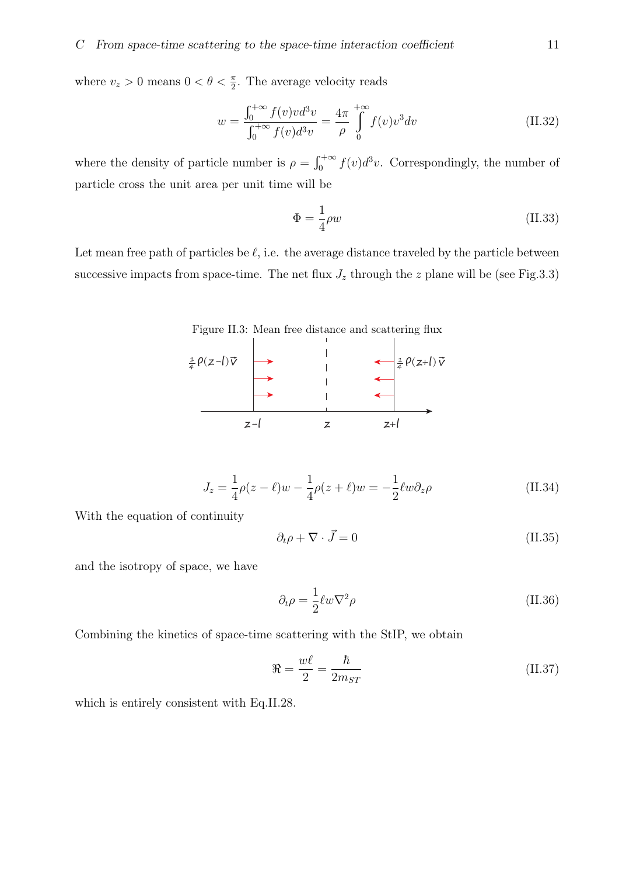where  $v_z > 0$  means  $0 < \theta < \frac{\pi}{2}$ . The average velocity reads

$$
w = \frac{\int_0^{+\infty} f(v)v d^3v}{\int_0^{+\infty} f(v)d^3v} = \frac{4\pi}{\rho} \int_0^{+\infty} f(v)v^3 dv
$$
 (II.32)

where the density of particle number is  $\rho = \int_0^{+\infty} f(v) d^3v$ . Correspondingly, the number of particle cross the unit area per unit time will be

$$
\Phi = \frac{1}{4}\rho w \tag{II.33}
$$

Let mean free path of particles be  $\ell$ , i.e. the average distance traveled by the particle between successive impacts from space-time. The net flux  $J_z$  through the *z* plane will be (see Fig.3.3)

Figure II.3: Mean free distance and scattering flux



$$
J_z = \frac{1}{4}\rho(z - \ell)w - \frac{1}{4}\rho(z + \ell)w = -\frac{1}{2}\ell w \partial_z \rho
$$
 (II.34)

With the equation of continuity

$$
\partial_t \rho + \nabla \cdot \vec{J} = 0 \tag{II.35}
$$

and the isotropy of space, we have

$$
\partial_t \rho = \frac{1}{2} \ell w \nabla^2 \rho \tag{II.36}
$$

Combining the kinetics of space-time scattering with the StIP, we obtain

$$
\Re = \frac{w\ell}{2} = \frac{\hbar}{2m_{ST}}\tag{II.37}
$$

which is entirely consistent with Eq.II.28.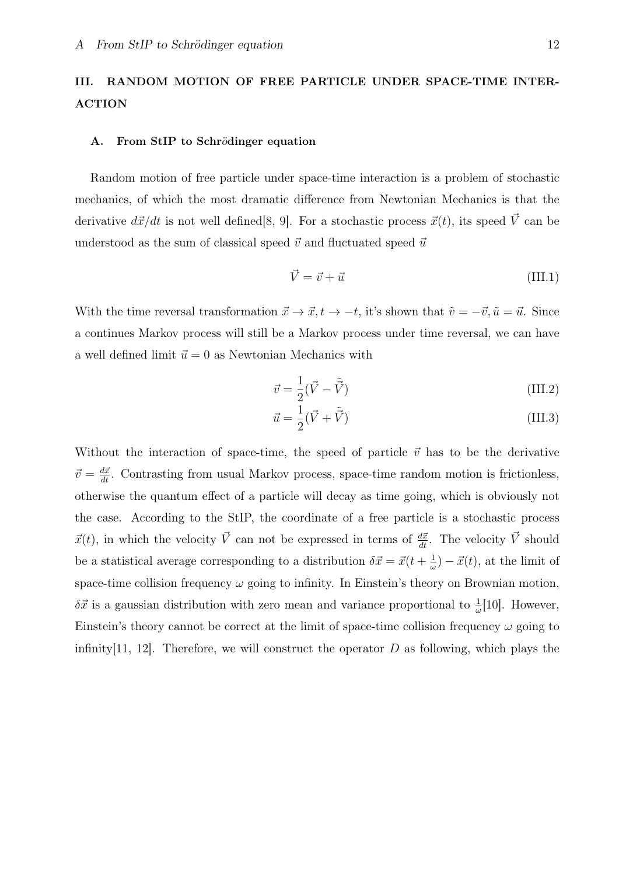# III. RANDOM MOTION OF FREE PARTICLE UNDER SPACE-TIME INTER-ACTION

#### A. From StIP to Schrödinger equation

Random motion of free particle under space-time interaction is a problem of stochastic mechanics, of which the most dramatic difference from Newtonian Mechanics is that the derivative  $d\vec{x}/dt$  is not well defined [8, 9]. For a stochastic process  $\vec{x}(t)$ , its speed  $\vec{V}$  can be understood as the sum of classical speed  $\vec{v}$  and fluctuated speed  $\vec{u}$ 

$$
\vec{V} = \vec{v} + \vec{u} \tag{III.1}
$$

With the time reversal transformation  $\vec{x} \to \vec{x}, t \to -t$ , it's shown that  $\tilde{v} = -\vec{v}, \tilde{u} = \vec{u}$ . Since a continues Markov process will still be a Markov process under time reversal, we can have a well defined limit  $\vec{u} = 0$  as Newtonian Mechanics with

$$
\vec{v} = \frac{1}{2}(\vec{V} - \tilde{\vec{V}})
$$
\n(III.2)

$$
\vec{u} = \frac{1}{2}(\vec{V} + \tilde{\vec{V}}) \tag{III.3}
$$

Without the interaction of space-time, the speed of particle  $\vec{v}$  has to be the derivative  $\vec{v} = \frac{d\vec{x}}{dt}$ . Contrasting from usual Markov process, space-time random motion is frictionless, otherwise the quantum effect of a particle will decay as time going, which is obviously not the case. According to the StIP, the coordinate of a free particle is a stochastic process  $\vec{x}(t)$ , in which the velocity  $\vec{V}$  can not be expressed in terms of  $\frac{d\vec{x}}{dt}$ . The velocity  $\vec{V}$  should be a statistical average corresponding to a distribution  $\delta \vec{x} = \vec{x}(t + \frac{1}{\omega})$  $(\frac{1}{\omega}) - \vec{x}(t)$ , at the limit of space-time collision frequency  $\omega$  going to infinity. In Einstein's theory on Brownian motion,  $\delta \vec{x}$  is a gaussian distribution with zero mean and variance proportional to  $\frac{1}{\omega}[10]$ . However, Einstein's theory cannot be correct at the limit of space-time collision frequency  $\omega$  going to infinity[11, 12]. Therefore, we will construct the operator  $D$  as following, which plays the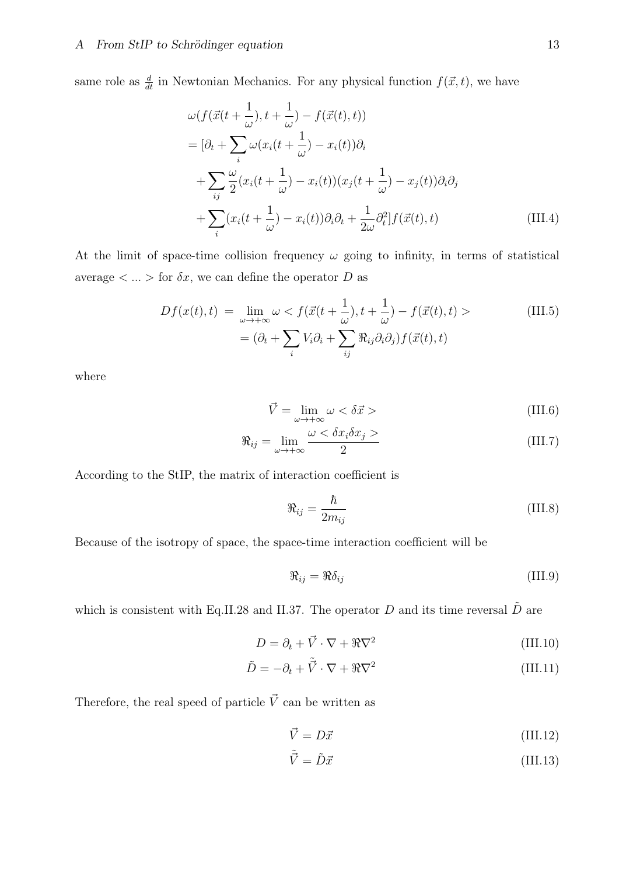same role as  $\frac{d}{dt}$  in Newtonian Mechanics. For any physical function  $f(\vec{x}, t)$ , we have

$$
\omega(f(\vec{x}(t+\frac{1}{\omega}),t+\frac{1}{\omega})-f(\vec{x}(t),t))
$$
\n
$$
= [\partial_t + \sum_i \omega(x_i(t+\frac{1}{\omega})-x_i(t))\partial_i
$$
\n
$$
+ \sum_{ij} \frac{\omega}{2}(x_i(t+\frac{1}{\omega})-x_i(t))(x_j(t+\frac{1}{\omega})-x_j(t))\partial_i\partial_j
$$
\n
$$
+ \sum_i (x_i(t+\frac{1}{\omega})-x_i(t))\partial_i\partial_t + \frac{1}{2\omega}\partial_t^2[f(\vec{x}(t),t)] \qquad (III.4)
$$

At the limit of space-time collision frequency  $\omega$  going to infinity, in terms of statistical average  $\langle \ldots \rangle$  for  $\delta x$ , we can define the operator *D* as

$$
Df(x(t),t) = \lim_{\omega \to +\infty} \omega < f(\vec{x}(t + \frac{1}{\omega}), t + \frac{1}{\omega}) - f(\vec{x}(t), t) > \tag{III.5}
$$
\n
$$
= (\partial_t + \sum_i V_i \partial_i + \sum_{ij} \Re_{ij} \partial_i \partial_j) f(\vec{x}(t), t)
$$

where

$$
\vec{V} = \lim_{\omega \to +\infty} \omega < \delta \vec{x} > \tag{III.6}
$$

$$
\Re_{ij} = \lim_{\omega \to +\infty} \frac{\omega < \delta x_i \delta x_j \ge 0}{2} \tag{III.7}
$$

According to the StIP, the matrix of interaction coefficient is

$$
\Re_{ij} = \frac{\hbar}{2m_{ij}}\tag{III.8}
$$

Because of the isotropy of space, the space-time interaction coefficient will be

$$
\Re_{ij} = \Re \delta_{ij} \tag{III.9}
$$

which is consistent with Eq.II.28 and II.37. The operator  $D$  and its time reversal  $\tilde{D}$  are

$$
D = \partial_t + \vec{V} \cdot \nabla + \Re \nabla^2 \tag{III.10}
$$

$$
\tilde{D} = -\partial_t + \tilde{\vec{V}} \cdot \nabla + \Re \nabla^2 \tag{III.11}
$$

Therefore, the real speed of particle  $\vec{V}$  can be written as

$$
\vec{V} = D\vec{x} \tag{III.12}
$$

$$
\tilde{\vec{V}} = \tilde{D}\vec{x} \tag{III.13}
$$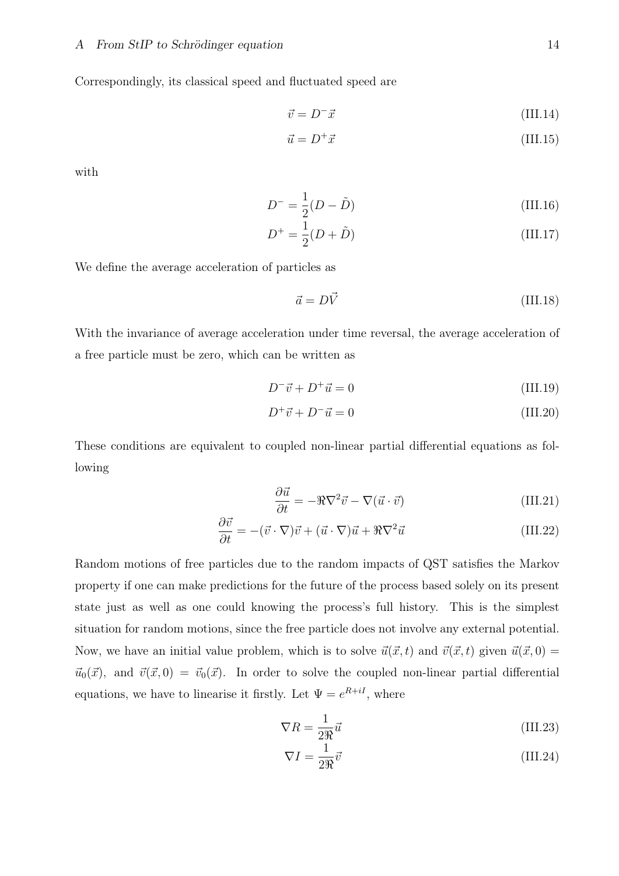Correspondingly, its classical speed and fluctuated speed are

$$
\vec{v} = D^{-}\vec{x} \tag{III.14}
$$

$$
\vec{u} = D^+ \vec{x} \tag{III.15}
$$

with

$$
D^{-} = \frac{1}{2}(D - \tilde{D})
$$
 (III.16)

$$
D^{+} = \frac{1}{2}(D + \tilde{D})
$$
 (III.17)

We define the average acceleration of particles as

$$
\vec{a} = D\vec{V} \tag{III.18}
$$

With the invariance of average acceleration under time reversal, the average acceleration of a free particle must be zero, which can be written as

$$
D^{-}\vec{v} + D^{+}\vec{u} = 0 \tag{III.19}
$$

$$
D^+\vec{v} + D^-\vec{u} = 0\tag{III.20}
$$

These conditions are equivalent to coupled non-linear partial differential equations as following

$$
\frac{\partial \vec{u}}{\partial t} = -\Re \nabla^2 \vec{v} - \nabla (\vec{u} \cdot \vec{v})
$$
 (III.21)

$$
\frac{\partial \vec{v}}{\partial t} = -(\vec{v} \cdot \nabla)\vec{v} + (\vec{u} \cdot \nabla)\vec{u} + \Re \nabla^2 \vec{u}
$$
 (III.22)

Random motions of free particles due to the random impacts of QST satisfies the Markov property if one can make predictions for the future of the process based solely on its present state just as well as one could knowing the process's full history. This is the simplest situation for random motions, since the free particle does not involve any external potential. Now, we have an initial value problem, which is to solve  $\vec{u}(\vec{x}, t)$  and  $\vec{v}(\vec{x}, t)$  given  $\vec{u}(\vec{x}, 0)$  =  $\vec{u}_0(\vec{x})$ , and  $\vec{v}(\vec{x},0) = \vec{v}_0(\vec{x})$ . In order to solve the coupled non-linear partial differential equations, we have to linearise it firstly. Let  $\Psi = e^{R+iI}$ , where

$$
\nabla R = \frac{1}{2\Re} \vec{u}
$$
 (III.23)

$$
\nabla I = \frac{1}{2\Re} \vec{v} \tag{III.24}
$$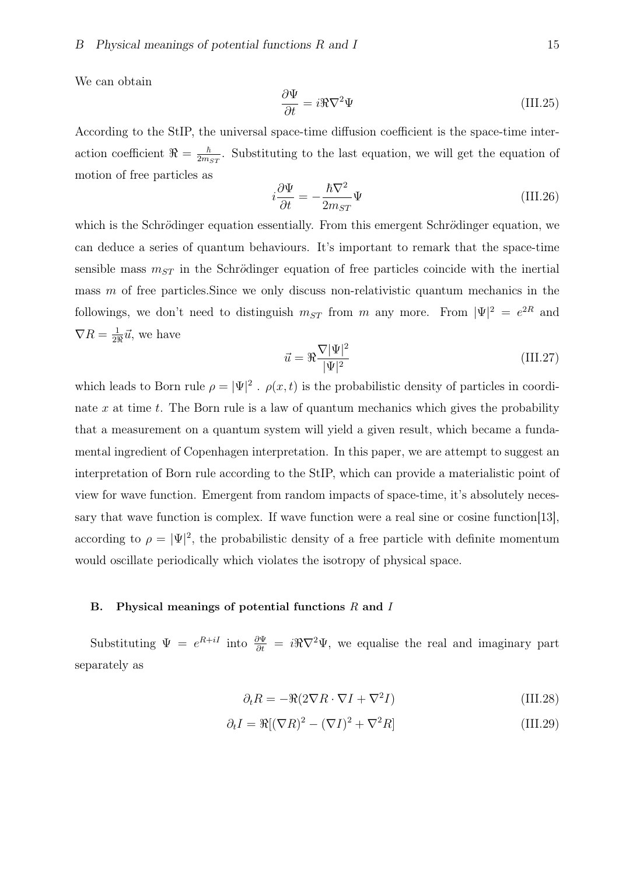We can obtain

$$
\frac{\partial \Psi}{\partial t} = i\Re \nabla^2 \Psi \tag{III.25}
$$

According to the StIP, the universal space-time diffusion coefficient is the space-time interaction coefficient  $\Re = \frac{\hbar}{2m}$  $\frac{\hbar}{2m_{ST}}$ . Substituting to the last equation, we will get the equation of motion of free particles as

$$
i\frac{\partial \Psi}{\partial t} = -\frac{\hbar \nabla^2}{2m_{ST}} \Psi \tag{III.26}
$$

which is the Schrödinger equation essentially. From this emergent Schrödinger equation, we can deduce a series of quantum behaviours. It's important to remark that the space-time sensible mass  $m_{ST}$  in the Schrödinger equation of free particles coincide with the inertial mass *m* of free particles. Since we only discuss non-relativistic quantum mechanics in the followings, we don't need to distinguish  $m_{ST}$  from  $m$  any more. From  $|\Psi|^2 = e^{2R}$  and  $\nabla R = \frac{1}{29}$  $\frac{1}{2\Re} \vec{u}$ , we have

$$
\vec{u} = \Re \frac{\nabla |\Psi|^2}{|\Psi|^2} \tag{III.27}
$$

which leads to Born rule  $\rho = |\Psi|^2$ .  $\rho(x, t)$  is the probabilistic density of particles in coordinate *x* at time *t*. The Born rule is a law of quantum mechanics which gives the probability that a measurement on a quantum system will yield a given result, which became a fundamental ingredient of Copenhagen interpretation. In this paper, we are attempt to suggest an interpretation of Born rule according to the StIP, which can provide a materialistic point of view for wave function. Emergent from random impacts of space-time, it's absolutely necessary that wave function is complex. If wave function were a real sine or cosine function[13], according to  $\rho = |\Psi|^2$ , the probabilistic density of a free particle with definite momentum would oscillate periodically which violates the isotropy of physical space.

#### B. Physical meanings of potential functions *R* and *I*

Substituting  $\Psi = e^{R+iI}$  into  $\frac{\partial \Psi}{\partial t} = i\Re(\nabla^2 \Psi)$ , we equalise the real and imaginary part separately as

$$
\partial_t R = -\Re(2\nabla R \cdot \nabla I + \nabla^2 I) \tag{III.28}
$$

$$
\partial_t I = \Re[(\nabla R)^2 - (\nabla I)^2 + \nabla^2 R] \tag{III.29}
$$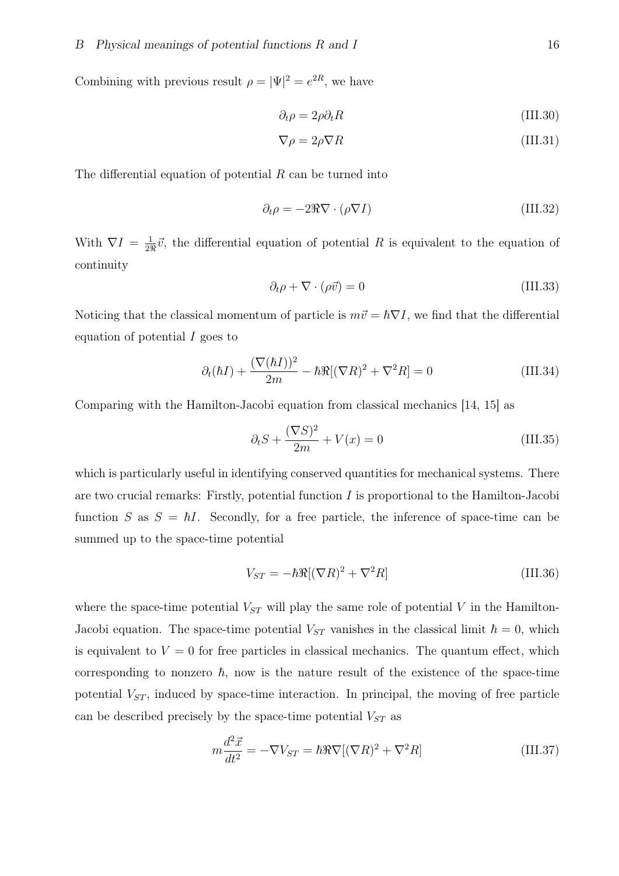Combining with previous result  $\rho = |\Psi|^2 = e^{2R}$ , we have

$$
\partial_t \rho = 2\rho \partial_t R \tag{III.30}
$$

$$
\nabla \rho = 2\rho \nabla R \tag{III.31}
$$

The differential equation of potential *R* can be turned into

$$
\partial_t \rho = -2\Re \nabla \cdot (\rho \nabla I) \tag{III.32}
$$

With  $\nabla I = \frac{1}{29}$  $\frac{1}{2\Re} \vec{v}$ , the differential equation of potential *R* is equivalent to the equation of continuity

$$
\partial_t \rho + \nabla \cdot (\rho \vec{v}) = 0 \tag{III.33}
$$

Noticing that the classical momentum of particle is  $m\vec{v} = \hbar \nabla I$ , we find that the differential equation of potential *I* goes to

$$
\partial_t(\hbar I) + \frac{(\nabla(\hbar I))^2}{2m} - \hbar \Re[(\nabla R)^2 + \nabla^2 R] = 0 \tag{III.34}
$$

Comparing with the Hamilton-Jacobi equation from classical mechanics [14, 15] as

$$
\partial_t S + \frac{(\nabla S)^2}{2m} + V(x) = 0 \tag{III.35}
$$

which is particularly useful in identifying conserved quantities for mechanical systems. There are two crucial remarks: Firstly, potential function *I* is proportional to the Hamilton-Jacobi function *S* as  $S = \hbar I$ . Secondly, for a free particle, the inference of space-time can be summed up to the space-time potential

$$
V_{ST} = -\hbar \Re[(\nabla R)^2 + \nabla^2 R] \tag{III.36}
$$

where the space-time potential  $V_{ST}$  will play the same role of potential  $V$  in the Hamilton-Jacobi equation. The space-time potential  $V_{ST}$  vanishes in the classical limit  $\hbar = 0$ , which is equivalent to  $V = 0$  for free particles in classical mechanics. The quantum effect, which corresponding to nonzero  $\hbar$ , now is the nature result of the existence of the space-time potential  $V_{ST}$ , induced by space-time interaction. In principal, the moving of free particle can be described precisely by the space-time potential  $V_{ST}$  as

$$
m\frac{d^2\vec{x}}{dt^2} = -\nabla V_{ST} = \hbar\Re\nabla[(\nabla R)^2 + \nabla^2 R]
$$
 (III.37)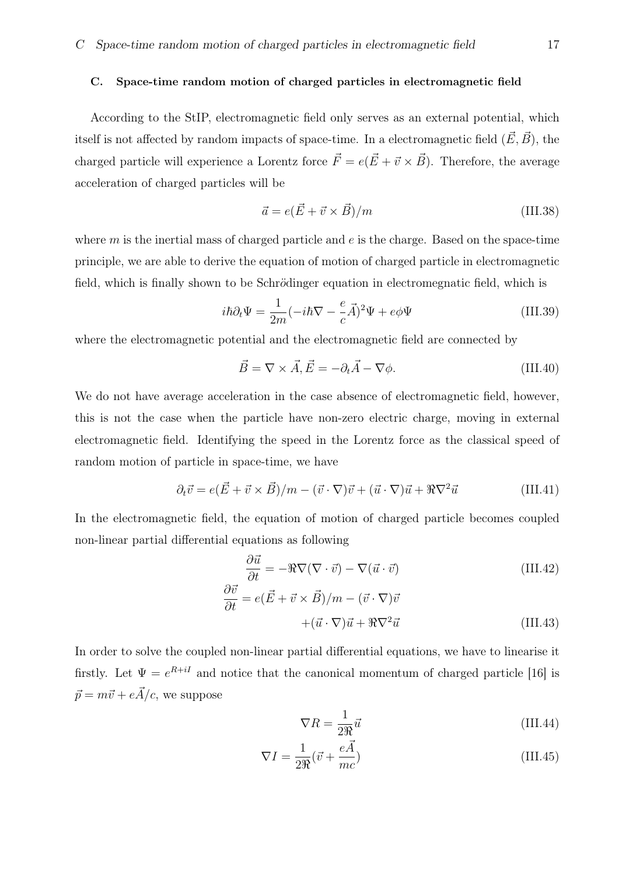#### C. Space-time random motion of charged particles in electromagnetic field

According to the StIP, electromagnetic field only serves as an external potential, which itself is not affected by random impacts of space-time. In a electromagnetic field  $(E, B)$ , the charged particle will experience a Lorentz force  $\vec{F} = e(\vec{E} + \vec{v} \times \vec{B})$ . Therefore, the average acceleration of charged particles will be

$$
\vec{a} = e(\vec{E} + \vec{v} \times \vec{B})/m
$$
 (III.38)

where  $m$  is the inertial mass of charged particle and  $e$  is the charge. Based on the space-time principle, we are able to derive the equation of motion of charged particle in electromagnetic field, which is finally shown to be Schrödinger equation in electromegnatic field, which is

$$
i\hbar \partial_t \Psi = \frac{1}{2m}(-i\hbar \nabla - \frac{e}{c}\vec{A})^2 \Psi + e\phi \Psi
$$
 (III.39)

where the electromagnetic potential and the electromagnetic field are connected by

$$
\vec{B} = \nabla \times \vec{A}, \vec{E} = -\partial_t \vec{A} - \nabla \phi.
$$
 (III.40)

We do not have average acceleration in the case absence of electromagnetic field, however, this is not the case when the particle have non-zero electric charge, moving in external electromagnetic field. Identifying the speed in the Lorentz force as the classical speed of random motion of particle in space-time, we have

$$
\partial_t \vec{v} = e(\vec{E} + \vec{v} \times \vec{B})/m - (\vec{v} \cdot \nabla)\vec{v} + (\vec{u} \cdot \nabla)\vec{u} + \Re \nabla^2 \vec{u}
$$
 (III.41)

In the electromagnetic field, the equation of motion of charged particle becomes coupled non-linear partial differential equations as following

$$
\frac{\partial \vec{u}}{\partial t} = -\Re \nabla (\nabla \cdot \vec{v}) - \nabla (\vec{u} \cdot \vec{v})
$$
(III.42)

$$
\frac{\partial \vec{v}}{\partial t} = e(\vec{E} + \vec{v} \times \vec{B})/m - (\vec{v} \cdot \nabla)\vec{v} + (\vec{u} \cdot \nabla)\vec{u} + \Re \nabla^2 \vec{u}
$$
 (III.43)

In order to solve the coupled non-linear partial differential equations, we have to linearise it firstly. Let  $\Psi = e^{R+iI}$  and notice that the canonical momentum of charged particle [16] is  $\vec{p} = m\vec{v} + e\vec{A}/c$ , we suppose

$$
\nabla R = \frac{1}{2\Re} \vec{u}
$$
 (III.44)

$$
\nabla I = \frac{1}{2\Re} (\vec{v} + \frac{e\vec{A}}{mc})
$$
 (III.45)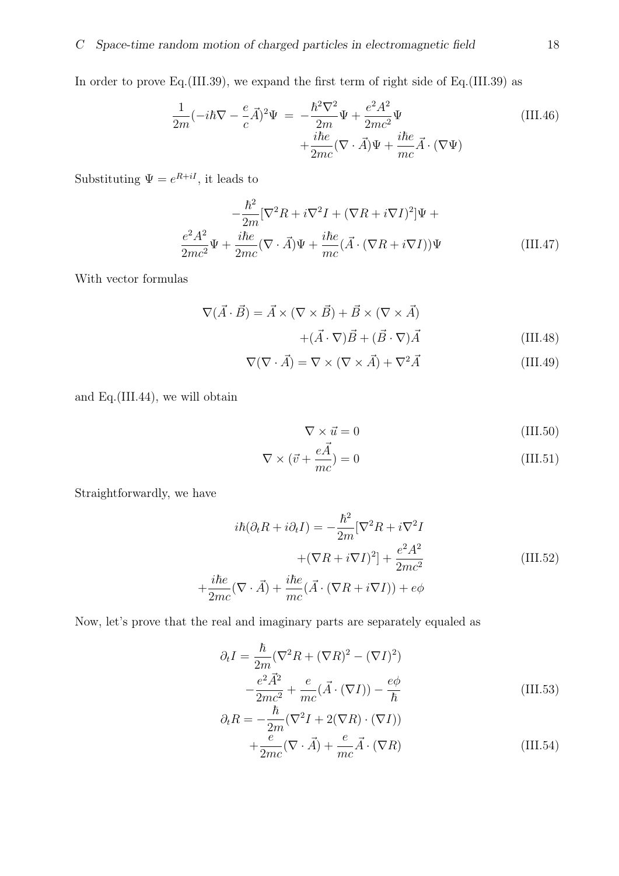In order to prove Eq. (III.39), we expand the first term of right side of Eq. (III.39) as

$$
\frac{1}{2m}(-i\hbar\nabla - \frac{e}{c}\vec{A})^2\Psi = -\frac{\hbar^2\nabla^2}{2m}\Psi + \frac{e^2A^2}{2mc^2}\Psi
$$
\n(III.46)\n
$$
+\frac{i\hbar e}{2mc}(\nabla \cdot \vec{A})\Psi + \frac{i\hbar e}{mc}\vec{A} \cdot (\nabla\Psi)
$$

Substituting  $\Psi = e^{R+iI}$ , it leads to

$$
-\frac{\hbar^2}{2m}[\nabla^2 R + i\nabla^2 I + (\nabla R + i\nabla I)^2]\Psi +
$$
  

$$
\frac{e^2 A^2}{2mc^2}\Psi + \frac{i\hbar e}{2mc}(\nabla \cdot \vec{A})\Psi + \frac{i\hbar e}{mc}(\vec{A} \cdot (\nabla R + i\nabla I))\Psi
$$
(III.47)

With vector formulas

$$
\nabla(\vec{A} \cdot \vec{B}) = \vec{A} \times (\nabla \times \vec{B}) + \vec{B} \times (\nabla \times \vec{A}) + (\vec{A} \cdot \nabla)\vec{B} + (\vec{B} \cdot \nabla)\vec{A}
$$
\n(III.48)

$$
\nabla(\nabla \cdot \vec{A}) = \nabla \times (\nabla \times \vec{A}) + \nabla^2 \vec{A}
$$
 (III.49)

and Eq.(III.44), we will obtain

$$
\nabla \times \vec{u} = 0 \tag{III.50}
$$

$$
\nabla \times (\vec{v} + \frac{e\vec{A}}{mc}) = 0
$$
 (III.51)

Straightforwardly, we have

$$
i\hbar(\partial_t R + i\partial_t I) = -\frac{\hbar^2}{2m} [\nabla^2 R + i\nabla^2 I
$$

$$
+(\nabla R + i\nabla I)^2] + \frac{e^2 A^2}{2mc^2}
$$

$$
+\frac{i\hbar e}{2mc}(\nabla \cdot \vec{A}) + \frac{i\hbar e}{mc}(\vec{A} \cdot (\nabla R + i\nabla I)) + e\phi
$$
(III.52)

Now, let's prove that the real and imaginary parts are separately equaled as

$$
\partial_t I = \frac{\hbar}{2m} (\nabla^2 R + (\nabla R)^2 - (\nabla I)^2)
$$

$$
-\frac{e^2 \vec{A}^2}{2mc^2} + \frac{e}{mc} (\vec{A} \cdot (\nabla I)) - \frac{e\phi}{\hbar}
$$
(III.53)

$$
\partial_t R = -\frac{\hbar}{2m} (\nabla^2 I + 2(\nabla R) \cdot (\nabla I))
$$
  
 
$$
+ \frac{e}{2mc} (\nabla \cdot \vec{A}) + \frac{e}{mc} \vec{A} \cdot (\nabla R)
$$
 (III.54)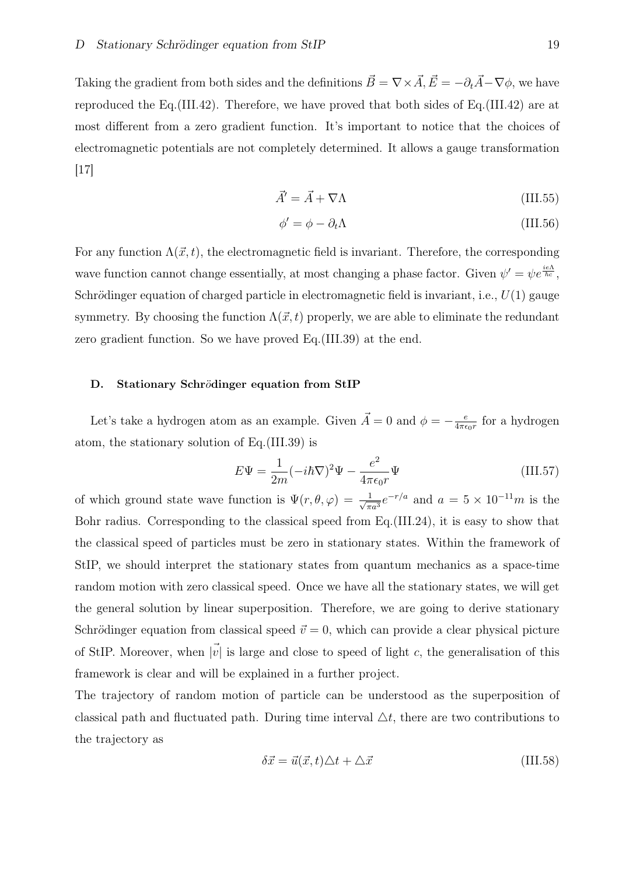Taking the gradient from both sides and the definitions  $\vec{B} = \nabla \times \vec{A}$ ,  $\vec{E} = -\partial_t \vec{A} - \nabla \phi$ , we have reproduced the Eq.(III.42). Therefore, we have proved that both sides of Eq.(III.42) are at most different from a zero gradient function. It's important to notice that the choices of electromagnetic potentials are not completely determined. It allows a gauge transformation  $|17|$ 

$$
\vec{A}' = \vec{A} + \nabla \Lambda \tag{III.55}
$$

$$
\phi' = \phi - \partial_t \Lambda \tag{III.56}
$$

For any function  $\Lambda(\vec{x}, t)$ , the electromagnetic field is invariant. Therefore, the corresponding wave function cannot change essentially, at most changing a phase factor. Given  $\psi' = \psi e^{\frac{i\epsilon \Lambda}{\hbar c}}$ , Schrödinger equation of charged particle in electromagnetic field is invariant, i.e.,  $U(1)$  gauge symmetry. By choosing the function  $\Lambda(\vec{x},t)$  properly, we are able to eliminate the redundant zero gradient function. So we have proved Eq.(III.39) at the end.

## D. Stationary Schrödinger equation from StIP

Let's take a hydrogen atom as an example. Given  $\vec{A} = 0$  and  $\phi = -\frac{e}{4\pi\epsilon}$  $\frac{e}{4\pi\epsilon_0 r}$  for a hydrogen atom, the stationary solution of Eq.(III.39) is

$$
E\Psi = \frac{1}{2m}(-i\hbar\nabla)^2\Psi - \frac{e^2}{4\pi\epsilon_0 r}\Psi
$$
 (III.57)

of which ground state wave function is  $\Psi(r, \theta, \varphi) = \frac{1}{\sqrt{2}}$  $\frac{1}{\pi a^3}e^{-r/a}$  and  $a = 5 \times 10^{-11}m$  is the Bohr radius. Corresponding to the classical speed from Eq.(III.24), it is easy to show that the classical speed of particles must be zero in stationary states. Within the framework of StIP, we should interpret the stationary states from quantum mechanics as a space-time random motion with zero classical speed. Once we have all the stationary states, we will get the general solution by linear superposition. Therefore, we are going to derive stationary Schrödinger equation from classical speed  $\vec{v} = 0$ , which can provide a clear physical picture of StIP. Moreover, when  $|\vec{v}|$  is large and close to speed of light *c*, the generalisation of this framework is clear and will be explained in a further project.

The trajectory of random motion of particle can be understood as the superposition of classical path and fluctuated path. During time interval  $\Delta t$ , there are two contributions to the trajectory as

$$
\delta \vec{x} = \vec{u}(\vec{x}, t)\Delta t + \Delta \vec{x} \tag{III.58}
$$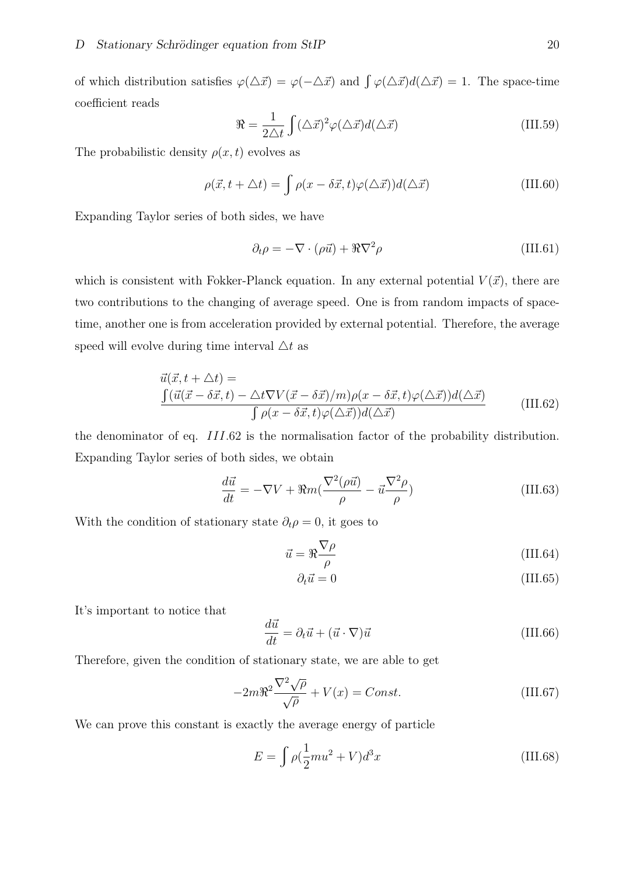of which distribution satisfies  $\varphi(\Delta \vec{x}) = \varphi(-\Delta \vec{x})$  and  $\int \varphi(\Delta \vec{x}) d(\Delta \vec{x}) = 1$ . The space-time coefficient reads

$$
\Re = \frac{1}{2\Delta t} \int (\Delta \vec{x})^2 \varphi(\Delta \vec{x}) d(\Delta \vec{x})
$$
 (III.59)

The probabilistic density  $\rho(x, t)$  evolves as

$$
\rho(\vec{x}, t + \triangle t) = \int \rho(x - \delta \vec{x}, t) \varphi(\triangle \vec{x}) d(\triangle \vec{x})
$$
 (III.60)

Expanding Taylor series of both sides, we have

$$
\partial_t \rho = -\nabla \cdot (\rho \vec{u}) + \Re \nabla^2 \rho \tag{III.61}
$$

which is consistent with Fokker-Planck equation. In any external potential  $V(\vec{x})$ , there are two contributions to the changing of average speed. One is from random impacts of spacetime, another one is from acceleration provided by external potential. Therefore, the average speed will evolve during time interval  $\triangle t$  as

$$
\vec{u}(\vec{x}, t + \Delta t) =
$$
\n
$$
\frac{\int (\vec{u}(\vec{x} - \delta \vec{x}, t) - \Delta t \nabla V(\vec{x} - \delta \vec{x})/m) \rho(x - \delta \vec{x}, t) \varphi(\Delta \vec{x})) d(\Delta \vec{x})}{\int \rho(x - \delta \vec{x}, t) \varphi(\Delta \vec{x})) d(\Delta \vec{x})}
$$
\n(III.62)

the denominator of eq. *III.*62 is the normalisation factor of the probability distribution. Expanding Taylor series of both sides, we obtain

$$
\frac{d\vec{u}}{dt} = -\nabla V + \Re m(\frac{\nabla^2(\rho\vec{u})}{\rho} - \vec{u}\frac{\nabla^2\rho}{\rho})
$$
(III.63)

With the condition of stationary state  $\partial_t \rho = 0$ , it goes to

$$
\vec{u} = \Re \frac{\nabla \rho}{\rho} \tag{III.64}
$$

$$
\partial_t \vec{u} = 0 \tag{III.65}
$$

It's important to notice that

$$
\frac{d\vec{u}}{dt} = \partial_t \vec{u} + (\vec{u} \cdot \nabla)\vec{u}
$$
 (III.66)

Therefore, given the condition of stationary state, we are able to get

$$
-2m\Re^2 \frac{\nabla^2 \sqrt{\rho}}{\sqrt{\rho}} + V(x) = Const.
$$
 (III.67)

We can prove this constant is exactly the average energy of particle

$$
E = \int \rho \left(\frac{1}{2}mu^2 + V\right) d^3x \tag{III.68}
$$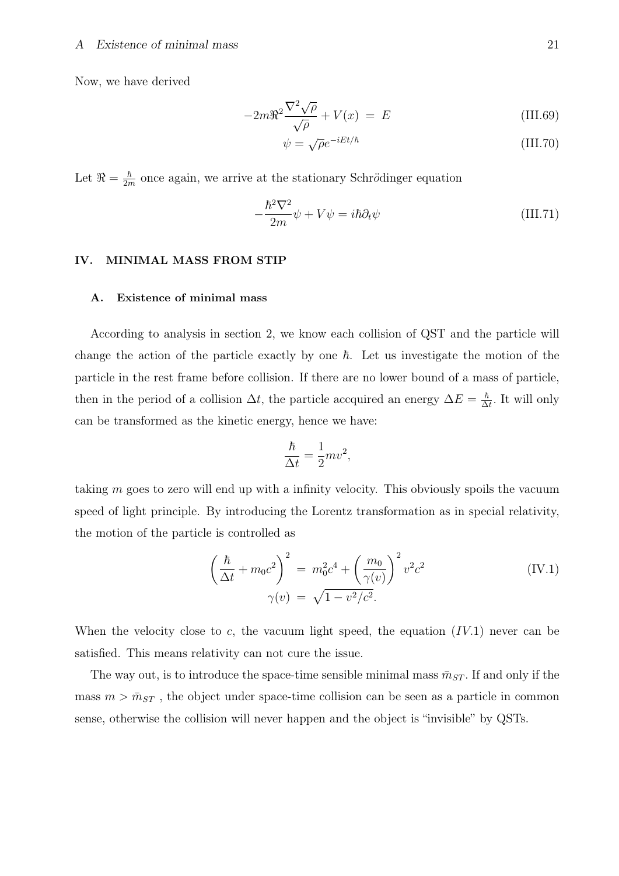Now, we have derived

$$
-2m\Re^2 \frac{\nabla^2 \sqrt{\rho}}{\sqrt{\rho}} + V(x) = E \tag{III.69}
$$

$$
\psi = \sqrt{\rho}e^{-iEt/\hbar} \tag{III.70}
$$

Let  $\Re = \frac{\hbar}{2n}$  $\frac{\hbar}{2m}$  once again, we arrive at the stationary Schrödinger equation

$$
-\frac{\hbar^2 \nabla^2}{2m} \psi + V \psi = i\hbar \partial_t \psi \tag{III.71}
$$

# IV. MINIMAL MASS FROM STIP

#### A. Existence of minimal mass

According to analysis in section 2, we know each collision of QST and the particle will change the action of the particle exactly by one  $\hbar$ . Let us investigate the motion of the particle in the rest frame before collision. If there are no lower bound of a mass of particle, then in the period of a collision  $\Delta t$ , the particle accquired an energy  $\Delta E = \frac{\hbar}{\Delta t}$  $\frac{\hbar}{\Delta t}$ . It will only can be transformed as the kinetic energy, hence we have:

$$
\frac{\hbar}{\Delta t} = \frac{1}{2}mv^2,
$$

taking *m* goes to zero will end up with a infinity velocity. This obviously spoils the vacuum speed of light principle. By introducing the Lorentz transformation as in special relativity, the motion of the particle is controlled as

$$
\left(\frac{\hbar}{\Delta t} + m_0 c^2\right)^2 = m_0^2 c^4 + \left(\frac{m_0}{\gamma(v)}\right)^2 v^2 c^2
$$
\n
$$
\gamma(v) = \sqrt{1 - v^2/c^2}.
$$
\n(IV.1)

When the velocity close to *c*, the vacuum light speed, the equation (*IV.*1) never can be satisfied. This means relativity can not cure the issue.

The way out, is to introduce the space-time sensible minimal mass  $\bar{m}_{ST}$ . If and only if the mass  $m > \bar{m}_{ST}$ , the object under space-time collision can be seen as a particle in common sense, otherwise the collision will never happen and the object is "invisible" by QSTs.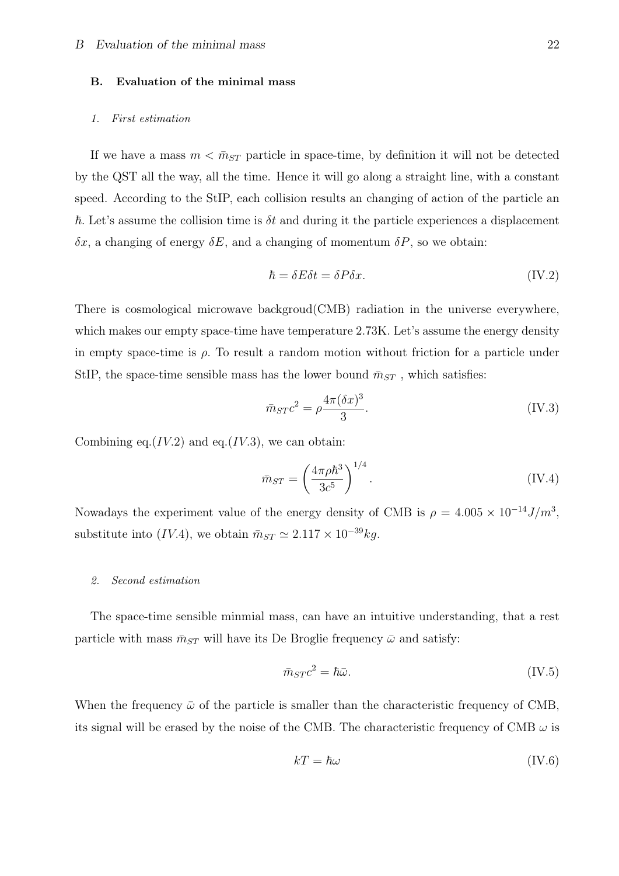#### B. Evaluation of the minimal mass

#### *1. First estimation*

If we have a mass  $m < \bar{m}_{ST}$  particle in space-time, by definition it will not be detected by the QST all the way, all the time. Hence it will go along a straight line, with a constant speed. According to the StIP, each collision results an changing of action of the particle an  $\hbar$ . Let's assume the collision time is  $\delta t$  and during it the particle experiences a displacement *δx*, a changing of energy *δE*, and a changing of momentum *δP*, so we obtain:

$$
\hbar = \delta E \delta t = \delta P \delta x. \tag{IV.2}
$$

There is cosmological microwave backgroud(CMB) radiation in the universe everywhere, which makes our empty space-time have temperature 2.73K. Let's assume the energy density in empty space-time is  $\rho$ . To result a random motion without friction for a particle under StIP, the space-time sensible mass has the lower bound  $\bar{m}_{ST}$ , which satisfies:

$$
\bar{m}_{ST}c^2 = \rho \frac{4\pi (\delta x)^3}{3}.
$$
 (IV.3)

Combining eq. $(IV.2)$  and eq. $(IV.3)$ , we can obtain:

$$
\bar{m}_{ST} = \left(\frac{4\pi\rho\hbar^3}{3c^5}\right)^{1/4}.\tag{IV.4}
$$

Nowadays the experiment value of the energy density of CMB is  $\rho = 4.005 \times 10^{-14} J/m^3$ , substitute into (*IV.*4), we obtain  $\bar{m}_{ST} \simeq 2.117 \times 10^{-39} kg$ .

#### *2. Second estimation*

The space-time sensible minmial mass, can have an intuitive understanding, that a rest particle with mass  $\bar{m}_{ST}$  will have its De Broglie frequency  $\bar{\omega}$  and satisfy:

$$
\bar{m}_{ST}c^2 = \hbar\bar{\omega}.\tag{IV.5}
$$

When the frequency  $\bar{\omega}$  of the particle is smaller than the characteristic frequency of CMB, its signal will be erased by the noise of the CMB. The characteristic frequency of CMB  $\omega$  is

$$
kT = \hbar\omega \tag{IV.6}
$$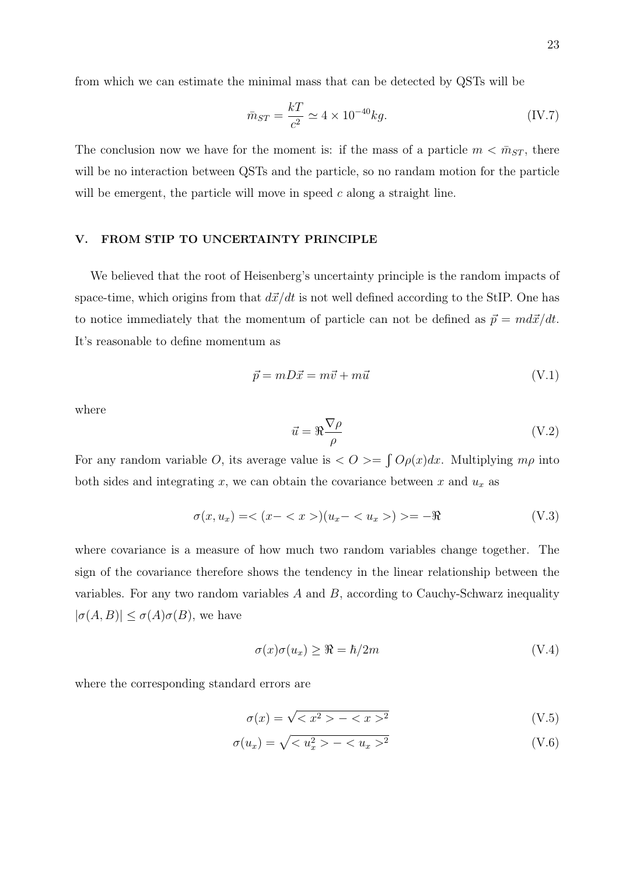from which we can estimate the minimal mass that can be detected by QSTs will be

$$
\bar{m}_{ST} = \frac{kT}{c^2} \simeq 4 \times 10^{-40} kg. \tag{IV.7}
$$

The conclusion now we have for the moment is: if the mass of a particle  $m < \bar{m}_{ST}$ , there will be no interaction between QSTs and the particle, so no randam motion for the particle will be emergent, the particle will move in speed *c* along a straight line.

#### V. FROM STIP TO UNCERTAINTY PRINCIPLE

We believed that the root of Heisenberg's uncertainty principle is the random impacts of space-time, which origins from that  $d\vec{x}/dt$  is not well defined according to the StIP. One has to notice immediately that the momentum of particle can not be defined as  $\vec{p} = md\vec{x}/dt$ . It's reasonable to define momentum as

$$
\vec{p} = mD\vec{x} = m\vec{v} + m\vec{u} \tag{V.1}
$$

where

$$
\vec{u} = \Re \frac{\nabla \rho}{\rho} \tag{V.2}
$$

For any random variable *O*, its average value is  $\langle O \rangle = \int O\rho(x) dx$ . Multiplying  $m\rho$  into both sides and integrating  $x$ , we can obtain the covariance between  $x$  and  $u_x$  as

$$
\sigma(x, u_x) = \langle (x - \langle x \rangle)(u_x - \langle u_x \rangle) \rangle = -\Re \tag{V.3}
$$

where covariance is a measure of how much two random variables change together. The sign of the covariance therefore shows the tendency in the linear relationship between the variables. For any two random variables *A* and *B*, according to Cauchy-Schwarz inequality  $|\sigma(A, B)| \leq \sigma(A)\sigma(B)$ , we have

$$
\sigma(x)\sigma(u_x) \ge \Re = \hbar/2m \tag{V.4}
$$

where the corresponding standard errors are

$$
\sigma(x) = \sqrt{\langle x^2 \rangle - \langle x \rangle^2} \tag{V.5}
$$

$$
\sigma(u_x) = \sqrt{ - ^2}
$$
\n(V.6)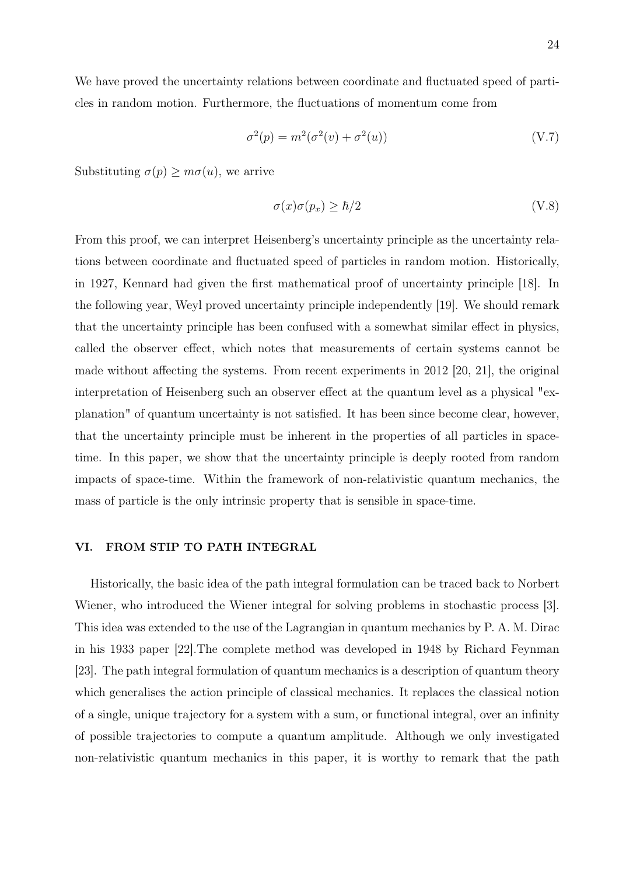We have proved the uncertainty relations between coordinate and fluctuated speed of particles in random motion. Furthermore, the fluctuations of momentum come from

$$
\sigma^2(p) = m^2(\sigma^2(v) + \sigma^2(u))\tag{V.7}
$$

Substituting  $\sigma(p) \geq m\sigma(u)$ , we arrive

$$
\sigma(x)\sigma(p_x) \ge \hbar/2 \tag{V.8}
$$

From this proof, we can interpret Heisenberg's uncertainty principle as the uncertainty relations between coordinate and fluctuated speed of particles in random motion. Historically, in 1927, Kennard had given the first mathematical proof of uncertainty principle [18]. In the following year, Weyl proved uncertainty principle independently [19]. We should remark that the uncertainty principle has been confused with a somewhat similar effect in physics, called the observer effect, which notes that measurements of certain systems cannot be made without affecting the systems. From recent experiments in 2012 [20, 21], the original interpretation of Heisenberg such an observer effect at the quantum level as a physical "explanation" of quantum uncertainty is not satisfied. It has been since become clear, however, that the uncertainty principle must be inherent in the properties of all particles in spacetime. In this paper, we show that the uncertainty principle is deeply rooted from random impacts of space-time. Within the framework of non-relativistic quantum mechanics, the mass of particle is the only intrinsic property that is sensible in space-time.

## VI. FROM STIP TO PATH INTEGRAL

Historically, the basic idea of the path integral formulation can be traced back to Norbert Wiener, who introduced the Wiener integral for solving problems in stochastic process [3]. This idea was extended to the use of the Lagrangian in quantum mechanics by P. A. M. Dirac in his 1933 paper [22].The complete method was developed in 1948 by Richard Feynman [23]. The path integral formulation of quantum mechanics is a description of quantum theory which generalises the action principle of classical mechanics. It replaces the classical notion of a single, unique trajectory for a system with a sum, or functional integral, over an infinity of possible trajectories to compute a quantum amplitude. Although we only investigated non-relativistic quantum mechanics in this paper, it is worthy to remark that the path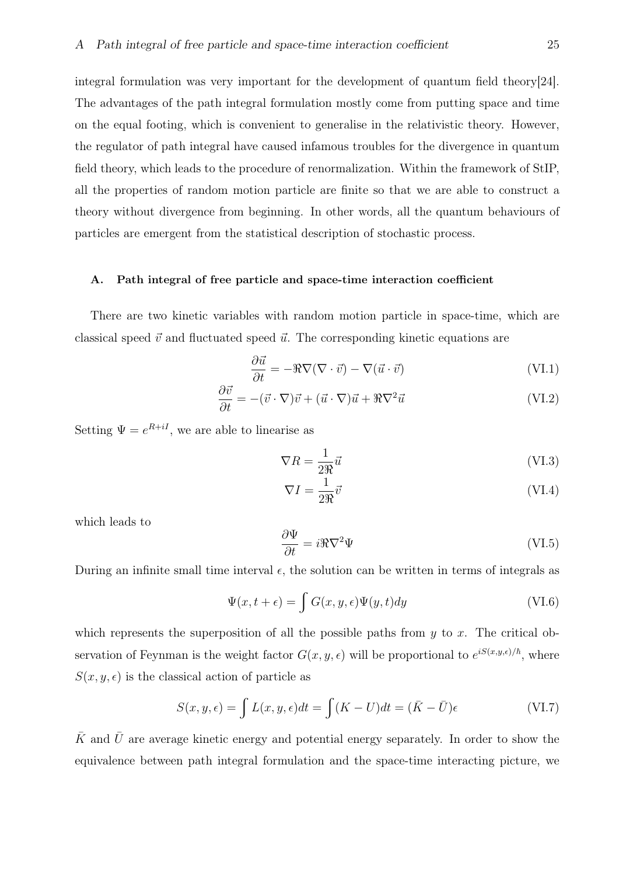integral formulation was very important for the development of quantum field theory[24]. The advantages of the path integral formulation mostly come from putting space and time on the equal footing, which is convenient to generalise in the relativistic theory. However, the regulator of path integral have caused infamous troubles for the divergence in quantum field theory, which leads to the procedure of renormalization. Within the framework of StIP, all the properties of random motion particle are finite so that we are able to construct a theory without divergence from beginning. In other words, all the quantum behaviours of particles are emergent from the statistical description of stochastic process.

#### A. Path integral of free particle and space-time interaction coefficient

There are two kinetic variables with random motion particle in space-time, which are classical speed  $\vec{v}$  and fluctuated speed  $\vec{u}$ . The corresponding kinetic equations are

$$
\frac{\partial \vec{u}}{\partial t} = -\Re \nabla (\nabla \cdot \vec{v}) - \nabla (\vec{u} \cdot \vec{v})
$$
 (VI.1)

$$
\frac{\partial \vec{v}}{\partial t} = -(\vec{v} \cdot \nabla)\vec{v} + (\vec{u} \cdot \nabla)\vec{u} + \Re \nabla^2 \vec{u}
$$
 (VI.2)

Setting  $\Psi = e^{R+iI}$ , we are able to linearise as

$$
\nabla R = \frac{1}{2\Re} \vec{u}
$$
 (VI.3)

$$
\nabla I = \frac{1}{2\Re} \vec{v} \tag{VI.4}
$$

which leads to

$$
\frac{\partial \Psi}{\partial t} = i\Re \nabla^2 \Psi \tag{VI.5}
$$

During an infinite small time interval  $\epsilon$ , the solution can be written in terms of integrals as

$$
\Psi(x,t+\epsilon) = \int G(x,y,\epsilon)\Psi(y,t)dy
$$
\n(VI.6)

which represents the superposition of all the possible paths from *y* to *x*. The critical observation of Feynman is the weight factor  $G(x, y, \epsilon)$  will be proportional to  $e^{iS(x, y, \epsilon)/\hbar}$ , where  $S(x, y, \epsilon)$  is the classical action of particle as

$$
S(x, y, \epsilon) = \int L(x, y, \epsilon)dt = \int (K - U)dt = (\bar{K} - \bar{U})\epsilon
$$
 (VI.7)

 $\bar{K}$  and  $\bar{U}$  are average kinetic energy and potential energy separately. In order to show the equivalence between path integral formulation and the space-time interacting picture, we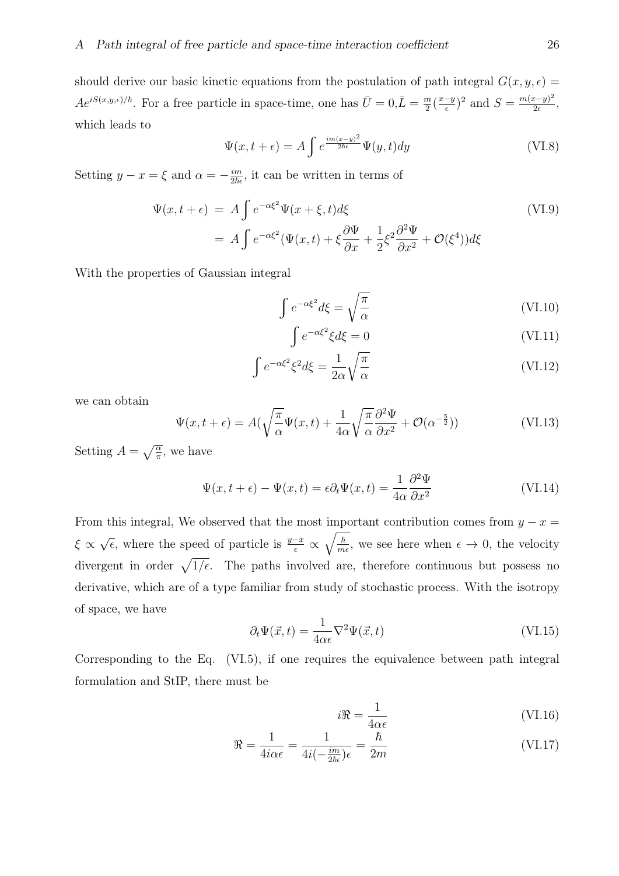should derive our basic kinetic equations from the postulation of path integral  $G(x, y, \epsilon)$  $Ae^{iS(x,y,\epsilon)/\hbar}$ . For a free particle in space-time, one has  $\bar{U}=0,\bar{L}=\frac{m}{2}$  $\frac{m}{2}(\frac{x-y}{\epsilon})^2$  and  $S = \frac{m(x-y)^2}{2\epsilon}$  $\frac{(x-y)^2}{2\epsilon}$ , which leads to

$$
\Psi(x,t+\epsilon) = A \int e^{\frac{im(x-y)^2}{2\hbar\epsilon}} \Psi(y,t) dy
$$
\n(VI.8)

Setting  $y - x = \xi$  and  $\alpha = -\frac{im}{2\hbar\epsilon}$  $\frac{im}{2\hbar\epsilon}$ , it can be written in terms of

$$
\Psi(x, t + \epsilon) = A \int e^{-\alpha \xi^2} \Psi(x + \xi, t) d\xi
$$
\n
$$
= A \int e^{-\alpha \xi^2} (\Psi(x, t) + \xi \frac{\partial \Psi}{\partial x} + \frac{1}{2} \xi^2 \frac{\partial^2 \Psi}{\partial x^2} + \mathcal{O}(\xi^4)) d\xi
$$
\n(VI.9)

With the properties of Gaussian integral

$$
\int e^{-\alpha \xi^2} d\xi = \sqrt{\frac{\pi}{\alpha}} \tag{VI.10}
$$

$$
\int e^{-\alpha \xi^2} \xi d\xi = 0 \tag{VI.11}
$$

$$
\int e^{-\alpha \xi^2} \xi^2 d\xi = \frac{1}{2\alpha} \sqrt{\frac{\pi}{\alpha}} \tag{VI.12}
$$

we can obtain

$$
\Psi(x,t+\epsilon) = A(\sqrt{\frac{\pi}{\alpha}}\Psi(x,t) + \frac{1}{4\alpha}\sqrt{\frac{\pi}{\alpha}}\frac{\partial^2\Psi}{\partial x^2} + \mathcal{O}(\alpha^{-\frac{5}{2}}))
$$
\n(VI.13)

Setting  $A = \sqrt{\frac{\alpha}{\pi}}$ , we have

$$
\Psi(x, t + \epsilon) - \Psi(x, t) = \epsilon \partial_t \Psi(x, t) = \frac{1}{4\alpha} \frac{\partial^2 \Psi}{\partial x^2}
$$
\n(VI.14)

From this integral, We observed that the most important contribution comes from  $y - x =$  $\xi \propto \sqrt{\epsilon}$ , where the speed of particle is  $\frac{y-x}{\epsilon} \propto$  $\sqrt{\hbar}$  $\frac{\hbar}{m\epsilon}$ , we see here when  $\epsilon \to 0$ , the velocity divergent in order  $\sqrt{1/\epsilon}$ . The paths involved are, therefore continuous but possess no derivative, which are of a type familiar from study of stochastic process. With the isotropy of space, we have

$$
\partial_t \Psi(\vec{x}, t) = \frac{1}{4\alpha \epsilon} \nabla^2 \Psi(\vec{x}, t)
$$
\n(VI.15)

Corresponding to the Eq. (VI.5), if one requires the equivalence between path integral formulation and StIP, there must be

$$
i\Re = \frac{1}{4\alpha\epsilon} \tag{VI.16}
$$

$$
\Re = \frac{1}{4i\alpha\epsilon} = \frac{1}{4i(-\frac{im}{2\hbar\epsilon})\epsilon} = \frac{\hbar}{2m}
$$
 (VI.17)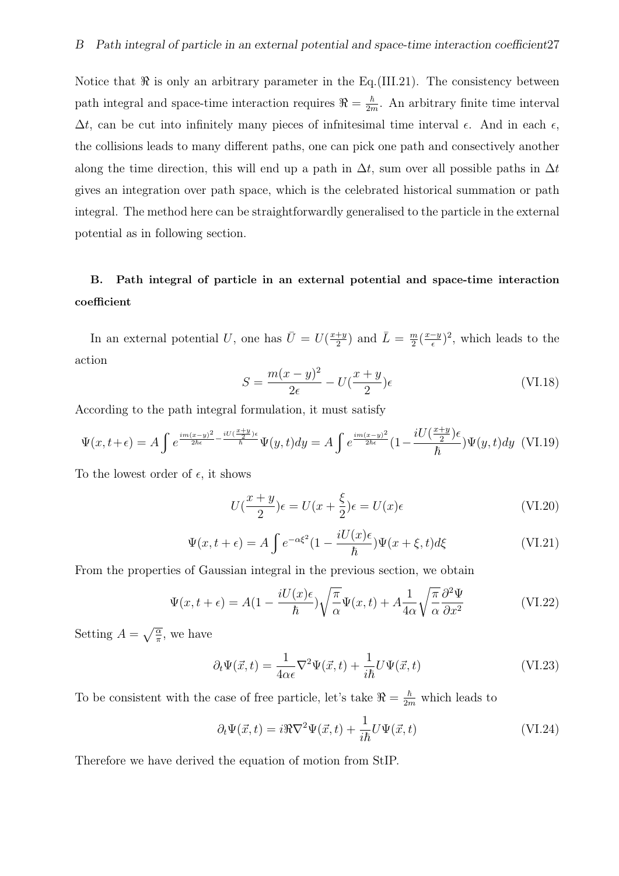Notice that  $\Re$  is only an arbitrary parameter in the Eq.(III.21). The consistency between path integral and space-time interaction requires  $\Re = \frac{\hbar}{2r}$  $\frac{\hbar}{2m}$ . An arbitrary finite time interval  $\Delta t$ , can be cut into infinitely many pieces of infinitesimal time interval *ε*. And in each *ε*, the collisions leads to many different paths, one can pick one path and consectively another along the time direction, this will end up a path in  $\Delta t$ , sum over all possible paths in  $\Delta t$ gives an integration over path space, which is the celebrated historical summation or path integral. The method here can be straightforwardly generalised to the particle in the external potential as in following section.

# B. Path integral of particle in an external potential and space-time interaction coefficient

In an external potential *U*, one has  $\bar{U} = U(\frac{x+y}{2})$  $\frac{+y}{2}$ ) and  $\overline{L} = \frac{m}{2}$  $\frac{m}{2}(\frac{x-y}{\epsilon})^2$ , which leads to the action

$$
S = \frac{m(x-y)^2}{2\epsilon} - U(\frac{x+y}{2})\epsilon
$$
 (VI.18)

According to the path integral formulation, it must satisfy

$$
\Psi(x,t+\epsilon) = A \int e^{\frac{im(x-y)^2}{2\hbar\epsilon} - \frac{iU(\frac{x+y}{2})\epsilon}{\hbar}} \Psi(y,t) dy = A \int e^{\frac{im(x-y)^2}{2\hbar\epsilon}} (1 - \frac{iU(\frac{x+y}{2})\epsilon}{\hbar}) \Psi(y,t) dy \quad \text{(VI.19)}
$$

To the lowest order of  $\epsilon$ , it shows

$$
U(\frac{x+y}{2})\epsilon = U(x + \frac{\xi}{2})\epsilon = U(x)\epsilon
$$
 (VI.20)

$$
\Psi(x, t + \epsilon) = A \int e^{-\alpha \xi^2} (1 - \frac{iU(x)\epsilon}{\hbar}) \Psi(x + \xi, t) d\xi
$$
 (VI.21)

From the properties of Gaussian integral in the previous section, we obtain

$$
\Psi(x,t+\epsilon) = A(1 - \frac{iU(x)\epsilon}{\hbar})\sqrt{\frac{\pi}{\alpha}}\Psi(x,t) + A\frac{1}{4\alpha}\sqrt{\frac{\pi}{\alpha}}\frac{\partial^2\Psi}{\partial x^2}
$$
(VI.22)

Setting  $A = \sqrt{\frac{\alpha}{\pi}}$ , we have

$$
\partial_t \Psi(\vec{x}, t) = \frac{1}{4\alpha \epsilon} \nabla^2 \Psi(\vec{x}, t) + \frac{1}{i\hbar} U \Psi(\vec{x}, t)
$$
(VI.23)

To be consistent with the case of free particle, let's take  $\Re = \frac{\hbar}{2m}$  which leads to

$$
\partial_t \Psi(\vec{x}, t) = i\Re \nabla^2 \Psi(\vec{x}, t) + \frac{1}{i\hbar} U \Psi(\vec{x}, t)
$$
\n(VI.24)

Therefore we have derived the equation of motion from StIP.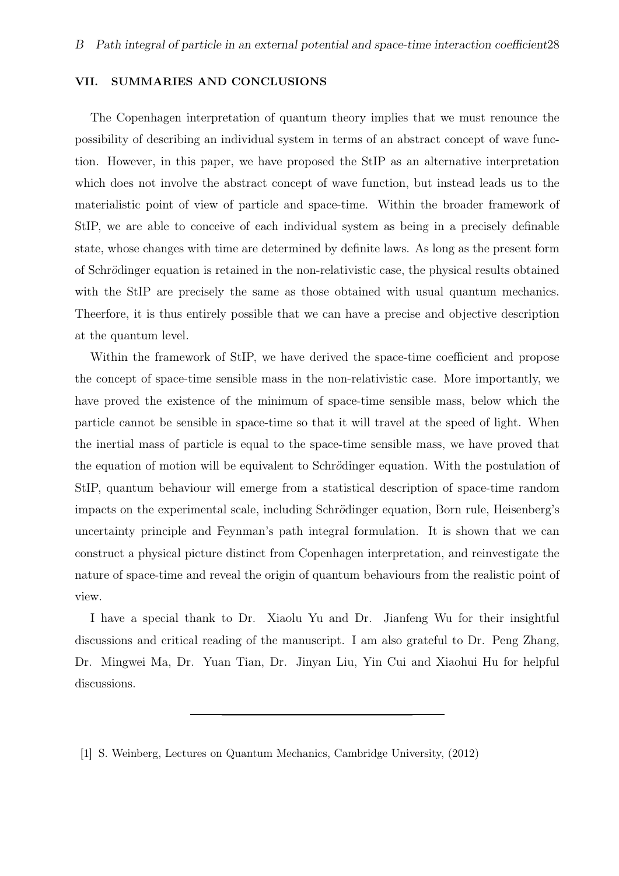#### VII. SUMMARIES AND CONCLUSIONS

The Copenhagen interpretation of quantum theory implies that we must renounce the possibility of describing an individual system in terms of an abstract concept of wave function. However, in this paper, we have proposed the StIP as an alternative interpretation which does not involve the abstract concept of wave function, but instead leads us to the materialistic point of view of particle and space-time. Within the broader framework of StIP, we are able to conceive of each individual system as being in a precisely definable state, whose changes with time are determined by definite laws. As long as the present form of Schr*o*¨dinger equation is retained in the non-relativistic case, the physical results obtained with the StIP are precisely the same as those obtained with usual quantum mechanics. Theerfore, it is thus entirely possible that we can have a precise and objective description at the quantum level.

Within the framework of StIP, we have derived the space-time coefficient and propose the concept of space-time sensible mass in the non-relativistic case. More importantly, we have proved the existence of the minimum of space-time sensible mass, below which the particle cannot be sensible in space-time so that it will travel at the speed of light. When the inertial mass of particle is equal to the space-time sensible mass, we have proved that the equation of motion will be equivalent to Schrödinger equation. With the postulation of StIP, quantum behaviour will emerge from a statistical description of space-time random impacts on the experimental scale, including Schrödinger equation, Born rule, Heisenberg's uncertainty principle and Feynman's path integral formulation. It is shown that we can construct a physical picture distinct from Copenhagen interpretation, and reinvestigate the nature of space-time and reveal the origin of quantum behaviours from the realistic point of view.

I have a special thank to Dr. Xiaolu Yu and Dr. Jianfeng Wu for their insightful discussions and critical reading of the manuscript. I am also grateful to Dr. Peng Zhang, Dr. Mingwei Ma, Dr. Yuan Tian, Dr. Jinyan Liu, Yin Cui and Xiaohui Hu for helpful discussions.

<sup>[1]</sup> S. Weinberg, Lectures on Quantum Mechanics, Cambridge University, (2012)